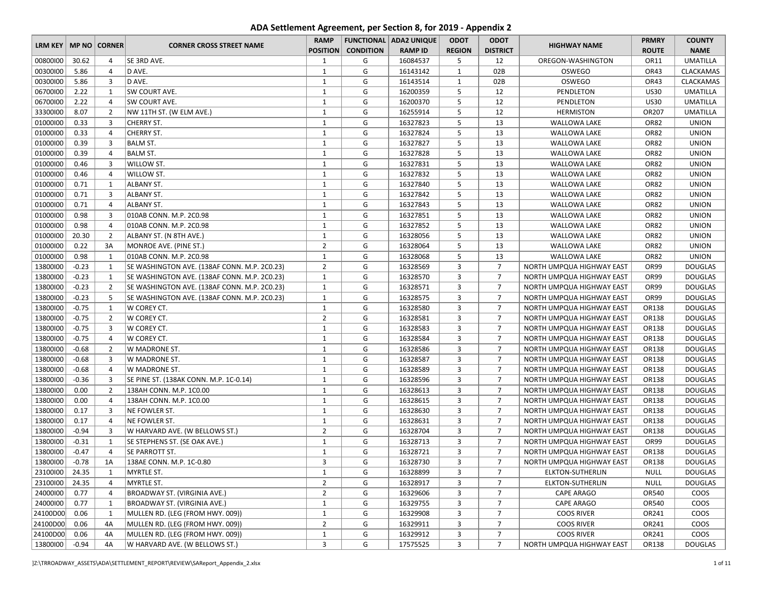## **ADA Settlement Agreement, per Section 8, for 2019 - Appendix 2**

|                          |         |                |                                              | <b>RAMP</b>     |                  | <b>FUNCTIONAL   ADA2 UNIQUE</b> | <b>ODOT</b>    | <b>ODOT</b>     |                           | <b>PRMRY</b> | <b>COUNTY</b>    |
|--------------------------|---------|----------------|----------------------------------------------|-----------------|------------------|---------------------------------|----------------|-----------------|---------------------------|--------------|------------------|
| LRM KEY   MP NO   CORNER |         |                | <b>CORNER CROSS STREET NAME</b>              | <b>POSITION</b> | <b>CONDITION</b> | <b>RAMP ID</b>                  | <b>REGION</b>  | <b>DISTRICT</b> | <b>HIGHWAY NAME</b>       | <b>ROUTE</b> | <b>NAME</b>      |
| 00800100                 | 30.62   | $\overline{4}$ | SE 3RD AVE.                                  | 1               | G                | 16084537                        | 5              | 12              | OREGON-WASHINGTON         | OR11         | <b>UMATILLA</b>  |
| 00300100                 | 5.86    | $\overline{4}$ | D AVE.                                       | $\mathbf{1}$    | G                | 16143142                        | $\mathbf{1}$   | 02B             | OSWEGO                    | OR43         | <b>CLACKAMAS</b> |
| 00300100                 | 5.86    | 3              | D AVE.                                       | $\mathbf{1}$    | G                | 16143514                        | $\mathbf{1}$   | 02B             | <b>OSWEGO</b>             | OR43         | <b>CLACKAMAS</b> |
| 06700100                 | 2.22    | $\mathbf{1}$   | SW COURT AVE.                                | $\mathbf{1}$    | G                | 16200359                        | 5              | 12              | PENDLETON                 | <b>US30</b>  | <b>UMATILLA</b>  |
| 06700100                 | 2.22    | $\overline{4}$ | SW COURT AVE.                                | $\mathbf{1}$    | G                | 16200370                        | 5              | 12              | PENDLETON                 | <b>US30</b>  | <b>UMATILLA</b>  |
| 33300100                 | 8.07    | $\overline{2}$ | NW 11TH ST. (W ELM AVE.)                     | $1\,$           | G                | 16255914                        | 5              | 12              | <b>HERMISTON</b>          | OR207        | <b>UMATILLA</b>  |
| 01000100                 | 0.33    | $\overline{3}$ | <b>CHERRY ST.</b>                            | $\mathbf{1}$    | G                | 16327823                        | 5              | 13              | <b>WALLOWA LAKE</b>       | OR82         | <b>UNION</b>     |
| 01000100                 | 0.33    | $\overline{4}$ | CHERRY ST.                                   | $\mathbf{1}$    | G                | 16327824                        | 5              | 13              | <b>WALLOWA LAKE</b>       | OR82         | <b>UNION</b>     |
| 01000100                 | 0.39    | 3              | <b>BALM ST.</b>                              | $\mathbf{1}$    | G                | 16327827                        | 5              | 13              | <b>WALLOWA LAKE</b>       | OR82         | <b>UNION</b>     |
| 01000100                 | 0.39    | 4              | <b>BALM ST.</b>                              | $\mathbf{1}$    | G                | 16327828                        | 5              | 13              | <b>WALLOWA LAKE</b>       | OR82         | <b>UNION</b>     |
| 01000100                 | 0.46    | 3              | WILLOW ST.                                   | $\mathbf{1}$    | G                | 16327831                        | 5              | 13              | <b>WALLOWA LAKE</b>       | OR82         | <b>UNION</b>     |
| 01000100                 | 0.46    | $\overline{a}$ | WILLOW ST.                                   | $\mathbf{1}$    | G                | 16327832                        | 5              | 13              | <b>WALLOWA LAKE</b>       | OR82         | <b>UNION</b>     |
| 01000100                 | 0.71    | $\mathbf{1}$   | ALBANY ST.                                   | $\mathbf{1}$    | G                | 16327840                        | 5              | 13              | <b>WALLOWA LAKE</b>       | OR82         | <b>UNION</b>     |
| 01000100                 | 0.71    | 3              | <b>ALBANY ST.</b>                            | $\mathbf{1}$    | G                | 16327842                        | 5              | 13              | <b>WALLOWA LAKE</b>       | OR82         | <b>UNION</b>     |
| 01000100                 | 0.71    | $\overline{4}$ | ALBANY ST.                                   | $\mathbf{1}$    | G                | 16327843                        | 5              | 13              | <b>WALLOWA LAKE</b>       | OR82         | <b>UNION</b>     |
| 01000100                 | 0.98    | 3              | 010AB CONN. M.P. 2C0.98                      | 1               | G                | 16327851                        | 5              | 13              | <b>WALLOWA LAKE</b>       | OR82         | <b>UNION</b>     |
| 01000100                 | 0.98    | $\overline{4}$ | 010AB CONN. M.P. 2C0.98                      | $\mathbf{1}$    | G                | 16327852                        | 5              | 13              | <b>WALLOWA LAKE</b>       | OR82         | <b>UNION</b>     |
| 01000100                 | 20.30   | $\overline{2}$ | ALBANY ST. (N 8TH AVE.)                      | $1\,$           | G                | 16328056                        | 5              | 13              | WALLOWA LAKE              | OR82         | <b>UNION</b>     |
| 01000100                 | 0.22    | 3A             | MONROE AVE. (PINE ST.)                       | $\overline{2}$  | G                | 16328064                        | 5              | 13              | <b>WALLOWA LAKE</b>       | OR82         | <b>UNION</b>     |
| 01000100                 | 0.98    | $\mathbf{1}$   | 010AB CONN. M.P. 2C0.98                      | $\mathbf{1}$    | G                | 16328068                        | 5              | 13              | <b>WALLOWA LAKE</b>       | OR82         | <b>UNION</b>     |
| 13800100                 | $-0.23$ | 1              | SE WASHINGTON AVE. (138AF CONN. M.P. 2C0.23) | $\overline{2}$  | G                | 16328569                        | 3              | $\overline{7}$  | NORTH UMPQUA HIGHWAY EAST | OR99         | <b>DOUGLAS</b>   |
| 13800100                 | $-0.23$ | $\mathbf{1}$   | SE WASHINGTON AVE. (138AF CONN. M.P. 2C0.23) | $\mathbf{1}$    | G                | 16328570                        | 3              | $\overline{7}$  | NORTH UMPQUA HIGHWAY EAST | OR99         | <b>DOUGLAS</b>   |
| 13800100                 | $-0.23$ | $\overline{2}$ | SE WASHINGTON AVE. (138AF CONN. M.P. 2C0.23) | $\mathbf{1}$    | G                | 16328571                        | 3              | $\overline{7}$  | NORTH UMPQUA HIGHWAY EAST | OR99         | <b>DOUGLAS</b>   |
| 13800100                 | $-0.23$ | 5              | SE WASHINGTON AVE. (138AF CONN. M.P. 2C0.23) | $\mathbf{1}$    | G                | 16328575                        | 3              | $\overline{7}$  | NORTH UMPQUA HIGHWAY EAST | OR99         | <b>DOUGLAS</b>   |
| 13800100                 | $-0.75$ | $\mathbf{1}$   | W COREY CT.                                  | $\mathbf{1}$    | G                | 16328580                        | 3              | $\overline{7}$  | NORTH UMPQUA HIGHWAY EAST | OR138        | <b>DOUGLAS</b>   |
| 13800100                 | $-0.75$ | $\overline{2}$ | W COREY CT.                                  | $\overline{2}$  | G                | 16328581                        | 3              | $\overline{7}$  | NORTH UMPQUA HIGHWAY EAST | OR138        | <b>DOUGLAS</b>   |
| 13800100                 | $-0.75$ | $\overline{3}$ | W COREY CT.                                  | $1\,$           | G                | 16328583                        | 3              | $\overline{7}$  | NORTH UMPQUA HIGHWAY EAST | OR138        | <b>DOUGLAS</b>   |
| 13800100                 | $-0.75$ | 4              | W COREY CT.                                  | $\mathbf{1}$    | G                | 16328584                        | 3              | $\overline{7}$  | NORTH UMPQUA HIGHWAY EAST | OR138        | <b>DOUGLAS</b>   |
| 13800100                 | $-0.68$ | $\overline{2}$ | W MADRONE ST.                                | $\mathbf{1}$    | G                | 16328586                        | 3              | $\overline{7}$  | NORTH UMPQUA HIGHWAY EAST | OR138        | <b>DOUGLAS</b>   |
| 13800100                 | $-0.68$ | 3              | W MADRONE ST.                                | $\mathbf{1}$    | G                | 16328587                        | 3              | $\overline{7}$  | NORTH UMPQUA HIGHWAY EAST | OR138        | <b>DOUGLAS</b>   |
| 13800100                 | $-0.68$ | $\overline{4}$ | W MADRONE ST.                                | $\mathbf{1}$    | G                | 16328589                        | 3              | $\overline{7}$  | NORTH UMPQUA HIGHWAY EAST | OR138        | <b>DOUGLAS</b>   |
| 13800100                 | $-0.36$ | 3              | SE PINE ST. (138AK CONN. M.P. 1C-0.14)       | $\mathbf{1}$    | G                | 16328596                        | 3              | $\overline{7}$  | NORTH UMPQUA HIGHWAY EAST | OR138        | <b>DOUGLAS</b>   |
| 13800100                 | 0.00    | $\overline{2}$ | 138AH CONN. M.P. 1C0.00                      | $\mathbf{1}$    | G                | 16328613                        | 3              | $\overline{7}$  | NORTH UMPQUA HIGHWAY EAST | OR138        | <b>DOUGLAS</b>   |
| 13800100                 | 0.00    | $\overline{4}$ | 138AH CONN. M.P. 1C0.00                      | $\mathbf{1}$    | G                | 16328615                        | 3              | $\overline{7}$  | NORTH UMPQUA HIGHWAY EAST | OR138        | <b>DOUGLAS</b>   |
| 13800100                 | 0.17    | 3              | NE FOWLER ST.                                | $\mathbf{1}$    | G                | 16328630                        | 3              | $\overline{7}$  | NORTH UMPQUA HIGHWAY EAST | OR138        | <b>DOUGLAS</b>   |
| 13800100                 | 0.17    | $\overline{4}$ | NE FOWLER ST.                                | $\mathbf{1}$    | G                | 16328631                        | 3              | $\overline{7}$  | NORTH UMPQUA HIGHWAY EAST | OR138        | <b>DOUGLAS</b>   |
| 13800100                 | $-0.94$ | $\overline{3}$ | W HARVARD AVE. (W BELLOWS ST.)               | $\overline{2}$  | G                | 16328704                        | 3              | $\overline{7}$  | NORTH UMPQUA HIGHWAY EAST | OR138        | <b>DOUGLAS</b>   |
| 13800100                 | $-0.31$ | $\mathbf{1}$   | SE STEPHENS ST. (SE OAK AVE.)                | $1\,$           | G                | 16328713                        | 3              | $\overline{7}$  | NORTH UMPQUA HIGHWAY EAST | OR99         | <b>DOUGLAS</b>   |
| 13800100                 | $-0.47$ | $\overline{4}$ | SE PARROTT ST.                               | 1               | G                | 16328721                        | 3              | $\overline{7}$  | NORTH UMPQUA HIGHWAY EAST | OR138        | <b>DOUGLAS</b>   |
| 13800100                 | $-0.78$ | 1A             | 138AE CONN. M.P. 1C-0.80                     | 3               | G                | 16328730                        | 3              | $\overline{7}$  | NORTH UMPQUA HIGHWAY EAST | OR138        | <b>DOUGLAS</b>   |
| 23100100                 | 24.35   | 1              | MYRTLE ST.                                   | $\mathbf{1}$    | G                | 16328899                        | 3              | $\overline{7}$  | ELKTON-SUTHERLIN          | <b>NULL</b>  | <b>DOUGLAS</b>   |
| 23100100                 | 24.35   | 4              | MYRTLE ST.                                   | $\overline{2}$  | G                | 16328917                        | 3              | $\overline{7}$  | ELKTON-SUTHERLIN          | <b>NULL</b>  | <b>DOUGLAS</b>   |
| 24000100                 | 0.77    | 4              | BROADWAY ST. (VIRGINIA AVE.)                 | $\overline{2}$  | G                | 16329606                        | 3              | $\overline{7}$  | CAPE ARAGO                | OR540        | <b>COOS</b>      |
| 24000100                 | 0.77    | $\mathbf{1}$   | <b>BROADWAY ST. (VIRGINIA AVE.)</b>          | $\mathbf{1}$    | G                | 16329755                        | 3              | $\overline{7}$  | CAPE ARAGO                | OR540        | <b>COOS</b>      |
| 24100D00                 | 0.06    | 1              | MULLEN RD. (LEG (FROM HWY. 009))             | $\mathbf{1}$    | G                | 16329908                        | 3              | $\overline{7}$  | <b>COOS RIVER</b>         | OR241        | <b>COOS</b>      |
| 24100D00                 | 0.06    | 4A             | MULLEN RD. (LEG (FROM HWY. 009))             | $\overline{2}$  | G                | 16329911                        | 3              | $\overline{7}$  | <b>COOS RIVER</b>         | OR241        | <b>COOS</b>      |
| 24100D00                 | 0.06    | 4A             | MULLEN RD. (LEG (FROM HWY. 009))             | $\mathbf{1}$    | G                | 16329912                        | 3              | $\overline{7}$  | <b>COOS RIVER</b>         | OR241        | COOS             |
| 13800100                 | $-0.94$ | 4A             | W HARVARD AVE. (W BELLOWS ST.)               | 3               | G                | 17575525                        | $\overline{3}$ | $\overline{7}$  | NORTH UMPQUA HIGHWAY EAST | OR138        | <b>DOUGLAS</b>   |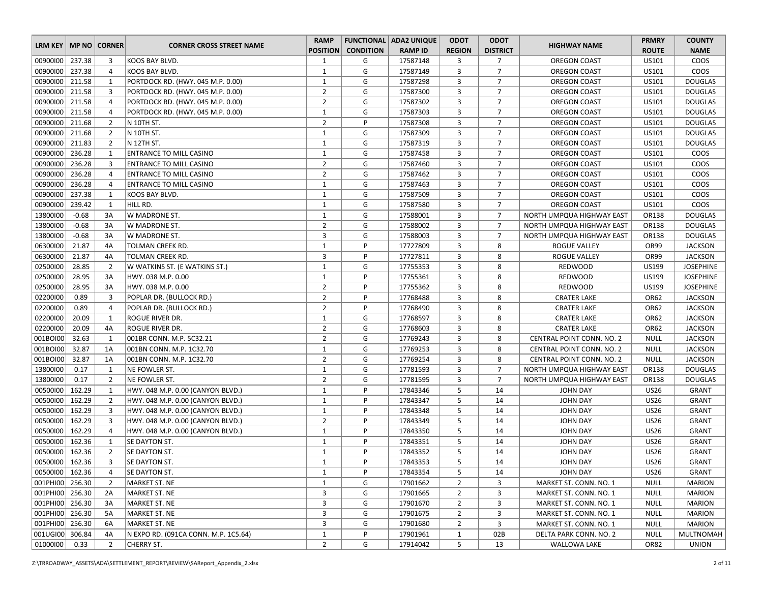|                          |         |                |                                      | <b>RAMP</b>     |                  | <b>FUNCTIONAL   ADA2 UNIQUE</b> | <b>ODOT</b>    | <b>ODOT</b>     |                           | <b>PRMRY</b> | <b>COUNTY</b>    |
|--------------------------|---------|----------------|--------------------------------------|-----------------|------------------|---------------------------------|----------------|-----------------|---------------------------|--------------|------------------|
| LRM KEY   MP NO   CORNER |         |                | <b>CORNER CROSS STREET NAME</b>      | <b>POSITION</b> | <b>CONDITION</b> | <b>RAMP ID</b>                  | <b>REGION</b>  | <b>DISTRICT</b> | <b>HIGHWAY NAME</b>       | <b>ROUTE</b> | <b>NAME</b>      |
| 00900100 237.38          |         | 3              | KOOS BAY BLVD.                       | 1               | G                | 17587148                        | 3              | $\overline{7}$  | OREGON COAST              | US101        | COOS             |
| 00900100 237.38          |         | 4              | KOOS BAY BLVD.                       | $\mathbf{1}$    | G                | 17587149                        | 3              | $\overline{7}$  | OREGON COAST              | US101        | COOS             |
| 00900100   211.58        |         | 1              | PORTDOCK RD. (HWY. 045 M.P. 0.00)    | 1               | G                | 17587298                        | 3              | $\overline{7}$  | OREGON COAST              | US101        | <b>DOUGLAS</b>   |
| 00900100   211.58        |         | $\overline{3}$ | PORTDOCK RD. (HWY. 045 M.P. 0.00)    | $\overline{2}$  | G                | 17587300                        | 3              | $\overline{7}$  | OREGON COAST              | US101        | <b>DOUGLAS</b>   |
| 00900100 211.58          |         | $\overline{4}$ | PORTDOCK RD. (HWY. 045 M.P. 0.00)    | $\overline{2}$  | G                | 17587302                        | 3              | $\overline{7}$  | OREGON COAST              | US101        | <b>DOUGLAS</b>   |
| 00900100 211.58          |         | $\overline{4}$ | PORTDOCK RD. (HWY. 045 M.P. 0.00)    | $\mathbf{1}$    | G                | 17587303                        | 3              | $\overline{7}$  | OREGON COAST              | US101        | <b>DOUGLAS</b>   |
| 00900100 211.68          |         | $\overline{2}$ | N 10TH ST.                           | $\overline{2}$  | P                | 17587308                        | 3              | $\overline{7}$  | OREGON COAST              | US101        | <b>DOUGLAS</b>   |
| 00900100 211.68          |         | $\overline{2}$ | N 10TH ST.                           | $\mathbf{1}$    | G                | 17587309                        | 3              | $\overline{7}$  | OREGON COAST              | US101        | <b>DOUGLAS</b>   |
| 00900100 211.83          |         | $\overline{2}$ | N 12TH ST.                           | $\mathbf{1}$    | G                | 17587319                        | 3              | $\overline{7}$  | OREGON COAST              | US101        | <b>DOUGLAS</b>   |
| 00900100                 | 236.28  | 1              | <b>ENTRANCE TO MILL CASINO</b>       | $\mathbf{1}$    | G                | 17587458                        | 3              | $\overline{7}$  | OREGON COAST              | US101        | COOS             |
| 00900100                 | 236.28  | 3              | <b>ENTRANCE TO MILL CASINO</b>       | $\overline{2}$  | G                | 17587460                        | 3              | $\overline{7}$  | OREGON COAST              | US101        | COOS             |
| 00900100                 | 236.28  | $\overline{4}$ | <b>ENTRANCE TO MILL CASINO</b>       | $\overline{2}$  | G                | 17587462                        | 3              | $\overline{7}$  | OREGON COAST              | US101        | COOS             |
| 00900100                 | 236.28  | $\overline{4}$ | ENTRANCE TO MILL CASINO              | $\mathbf{1}$    | G                | 17587463                        | 3              | $\overline{7}$  | OREGON COAST              | US101        | COOS             |
| 00900100 237.38          |         | 1              | KOOS BAY BLVD.                       | $\mathbf{1}$    | G                | 17587509                        | 3              | $\overline{7}$  | OREGON COAST              | US101        | COOS             |
| 00900100                 | 239.42  | 1              | HILL RD.                             | $\mathbf{1}$    | G                | 17587580                        | 3              | $\overline{7}$  | OREGON COAST              | US101        | COOS             |
| 13800100                 | $-0.68$ | 3A             | W MADRONE ST.                        | $\mathbf{1}$    | G                | 17588001                        | 3              | $\overline{7}$  | NORTH UMPQUA HIGHWAY EAST | OR138        | <b>DOUGLAS</b>   |
| 13800100                 | $-0.68$ | 3A             | W MADRONE ST.                        | $\overline{2}$  | G                | 17588002                        | 3              | $\overline{7}$  | NORTH UMPQUA HIGHWAY EAST | OR138        | <b>DOUGLAS</b>   |
| 13800100                 | $-0.68$ | 3A             | W MADRONE ST.                        | 3               | G                | 17588003                        | 3              | $\overline{7}$  | NORTH UMPQUA HIGHWAY EAST | OR138        | <b>DOUGLAS</b>   |
| 06300100                 | 21.87   | 4A             | TOLMAN CREEK RD.                     | $\mathbf{1}$    | P                | 17727809                        | 3              | 8               | ROGUE VALLEY              | OR99         | <b>JACKSON</b>   |
| 06300100                 | 21.87   | 4A             | TOLMAN CREEK RD.                     | 3               | P                | 17727811                        | 3              | 8               | ROGUE VALLEY              | OR99         | <b>JACKSON</b>   |
| 02500100                 | 28.85   | $\overline{2}$ | W WATKINS ST. (E WATKINS ST.)        | $\mathbf{1}$    | G                | 17755353                        | 3              | 8               | <b>REDWOOD</b>            | US199        | <b>JOSEPHINE</b> |
| 02500100                 | 28.95   | 3A             | HWY. 038 M.P. 0.00                   | $\mathbf{1}$    | P                | 17755361                        | 3              | 8               | REDWOOD                   | US199        | <b>JOSEPHINE</b> |
| 02500100                 | 28.95   | 3A             | HWY. 038 M.P. 0.00                   | $\overline{2}$  | P                | 17755362                        | 3              | 8               | <b>REDWOOD</b>            | US199        | <b>JOSEPHINE</b> |
| 02200100                 | 0.89    | 3              | POPLAR DR. (BULLOCK RD.)             | $\overline{2}$  | P                | 17768488                        | 3              | 8               | <b>CRATER LAKE</b>        | OR62         | <b>JACKSON</b>   |
| 02200100                 | 0.89    | $\overline{4}$ | POPLAR DR. (BULLOCK RD.)             | $\overline{2}$  | P                | 17768490                        | 3              | 8               | <b>CRATER LAKE</b>        | OR62         | <b>JACKSON</b>   |
| 02200100                 | 20.09   | 1              | ROGUE RIVER DR.                      | $\mathbf{1}$    | G                | 17768597                        | 3              | 8               | <b>CRATER LAKE</b>        | OR62         | <b>JACKSON</b>   |
| 02200100                 | 20.09   | 4A             | ROGUE RIVER DR.                      | $\overline{2}$  | G                | 17768603                        | 3              | 8               | <b>CRATER LAKE</b>        | OR62         | <b>JACKSON</b>   |
| 001BOI00                 | 32.63   | 1              | 001BR CONN. M.P. 5C32.21             | $\overline{2}$  | G                | 17769243                        | 3              | 8               | CENTRAL POINT CONN. NO. 2 | <b>NULL</b>  | <b>JACKSON</b>   |
| 001BOI00                 | 32.87   | 1A             | 001BN CONN. M.P. 1C32.70             | $\mathbf{1}$    | G                | 17769253                        | 3              | 8               | CENTRAL POINT CONN. NO. 2 | <b>NULL</b>  | <b>JACKSON</b>   |
| 001BOI00                 | 32.87   | 1A             | 001BN CONN. M.P. 1C32.70             | $\overline{2}$  | G                | 17769254                        | 3              | 8               | CENTRAL POINT CONN. NO. 2 | <b>NULL</b>  | <b>JACKSON</b>   |
| 13800100                 | 0.17    | 1              | NE FOWLER ST.                        | $\mathbf{1}$    | G                | 17781593                        | 3              | $\overline{7}$  | NORTH UMPQUA HIGHWAY EAST | OR138        | <b>DOUGLAS</b>   |
| 13800100                 | 0.17    | $\overline{2}$ | NE FOWLER ST.                        | $\overline{2}$  | G                | 17781595                        | 3              | $\overline{7}$  | NORTH UMPQUA HIGHWAY EAST | OR138        | <b>DOUGLAS</b>   |
| 00500100                 | 162.29  | 1              | HWY. 048 M.P. 0.00 (CANYON BLVD.)    | $\mathbf{1}$    | P                | 17843346                        | 5              | 14              | <b>JOHN DAY</b>           | <b>US26</b>  | <b>GRANT</b>     |
| 00500100 162.29          |         | $\overline{2}$ | HWY. 048 M.P. 0.00 (CANYON BLVD.)    | $\mathbf{1}$    | P                | 17843347                        | 5              | 14              | <b>JOHN DAY</b>           | <b>US26</b>  | <b>GRANT</b>     |
| 00500100   162.29        |         | 3              | HWY. 048 M.P. 0.00 (CANYON BLVD.)    | $\mathbf{1}$    | P                | 17843348                        | 5              | 14              | JOHN DAY                  | <b>US26</b>  | <b>GRANT</b>     |
| 00500100 162.29          |         | $\overline{3}$ | HWY. 048 M.P. 0.00 (CANYON BLVD.)    | $\overline{2}$  | P                | 17843349                        | 5              | 14              | <b>JOHN DAY</b>           | <b>US26</b>  | <b>GRANT</b>     |
| 00500100 162.29          |         | $\overline{4}$ | HWY. 048 M.P. 0.00 (CANYON BLVD.)    | $\mathbf{1}$    | P                | 17843350                        | 5              | 14              | <b>JOHN DAY</b>           | <b>US26</b>  | <b>GRANT</b>     |
| 00500100 162.36          |         | 1              | SE DAYTON ST.                        | $\mathbf{1}$    | P                | 17843351                        | 5              | 14              | <b>JOHN DAY</b>           | <b>US26</b>  | <b>GRANT</b>     |
| 00500100 162.36          |         | $\overline{2}$ | SE DAYTON ST.                        | $\mathbf{1}$    | P                | 17843352                        | 5              | 14              | <b>JOHN DAY</b>           | <b>US26</b>  | <b>GRANT</b>     |
| 00500100 162.36          |         | 3              | SE DAYTON ST.                        | $\mathbf{1}$    | P                | 17843353                        | 5              | 14              | <b>JOHN DAY</b>           | <b>US26</b>  | <b>GRANT</b>     |
| 00500100   162.36        |         | 4              | SE DAYTON ST.                        | $\mathbf{1}$    | P                | 17843354                        | 5              | 14              | JOHN DAY                  | US26         | <b>GRANT</b>     |
| 001PHI00 256.30          |         | $\overline{2}$ | MARKET ST. NE                        | $\mathbf{1}$    | G                | 17901662                        | $\overline{2}$ | 3               | MARKET ST. CONN. NO. 1    | <b>NULL</b>  | <b>MARION</b>    |
| 001PHI00 256.30          |         | 2A             | MARKET ST. NE                        | 3               | G                | 17901665                        | $\overline{2}$ | 3               | MARKET ST. CONN. NO. 1    | <b>NULL</b>  | <b>MARION</b>    |
| 001PHI00 256.30          |         | 3A             | MARKET ST. NE                        | 3               | G                | 17901670                        | $\overline{2}$ | 3               | MARKET ST. CONN. NO. 1    | <b>NULL</b>  | <b>MARION</b>    |
| 001PHI00 256.30          |         | 5A             | MARKET ST. NE                        | 3               | G                | 17901675                        | $\overline{2}$ | 3               | MARKET ST. CONN. NO. 1    | <b>NULL</b>  | MARION           |
| 001PHI00 256.30          |         | 6A             | <b>MARKET ST. NE</b>                 | 3               | G                | 17901680                        | $\overline{2}$ | 3               | MARKET ST. CONN. NO. 1    | <b>NULL</b>  | <b>MARION</b>    |
| 001UGI00 306.84          |         | 4A             | N EXPO RD. (091CA CONN. M.P. 1C5.64) | $\mathbf{1}$    | P                | 17901961                        | $\mathbf{1}$   | 02B             | DELTA PARK CONN. NO. 2    | <b>NULL</b>  | MULTNOMAH        |
| 01000100                 | 0.33    | $\overline{2}$ | CHERRY ST.                           | $\overline{2}$  | G                | 17914042                        | 5              | 13              | <b>WALLOWA LAKE</b>       | OR82         | <b>UNION</b>     |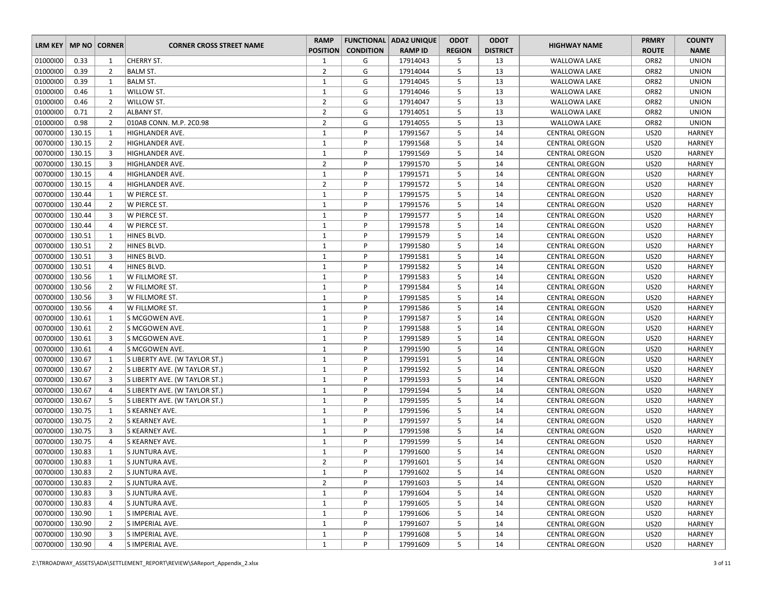| LRM KEY   MP NO   CORNER |        |                |                                 | <b>RAMP</b>     |                  | <b>FUNCTIONAL ADA2 UNIQUE</b> | <b>ODOT</b>   | <b>ODOT</b>     | <b>HIGHWAY NAME</b>   | <b>PRMRY</b> | <b>COUNTY</b> |
|--------------------------|--------|----------------|---------------------------------|-----------------|------------------|-------------------------------|---------------|-----------------|-----------------------|--------------|---------------|
|                          |        |                | <b>CORNER CROSS STREET NAME</b> | <b>POSITION</b> | <b>CONDITION</b> | <b>RAMP ID</b>                | <b>REGION</b> | <b>DISTRICT</b> |                       | <b>ROUTE</b> | <b>NAME</b>   |
| 01000100                 | 0.33   | 1              | CHERRY ST.                      | 1               | G                | 17914043                      | 5             | 13              | <b>WALLOWA LAKE</b>   | OR82         | <b>UNION</b>  |
| 01000100                 | 0.39   | $\overline{2}$ | <b>BALM ST.</b>                 | $\overline{2}$  | G                | 17914044                      | 5             | 13              | <b>WALLOWA LAKE</b>   | OR82         | <b>UNION</b>  |
| 01000100                 | 0.39   | 1              | BALM ST.                        | $\mathbf{1}$    | G                | 17914045                      | 5             | 13              | <b>WALLOWA LAKE</b>   | OR82         | <b>UNION</b>  |
| 01000100                 | 0.46   | 1              | WILLOW ST.                      | $\mathbf{1}$    | G                | 17914046                      | 5             | 13              | WALLOWA LAKE          | OR82         | <b>UNION</b>  |
| 01000100                 | 0.46   | $\overline{2}$ | WILLOW ST.                      | $\overline{2}$  | G                | 17914047                      | 5             | 13              | <b>WALLOWA LAKE</b>   | OR82         | <b>UNION</b>  |
| 01000100                 | 0.71   | $\overline{2}$ | ALBANY ST.                      | $\overline{2}$  | G                | 17914051                      | 5             | 13              | <b>WALLOWA LAKE</b>   | OR82         | <b>UNION</b>  |
| 01000100                 | 0.98   | $\overline{2}$ | 010AB CONN. M.P. 2C0.98         | $\overline{2}$  | G                | 17914055                      | 5             | 13              | <b>WALLOWA LAKE</b>   | OR82         | <b>UNION</b>  |
| 00700100   130.15        |        | 1              | HIGHLANDER AVE.                 | $\mathbf{1}$    | P                | 17991567                      | 5             | 14              | <b>CENTRAL OREGON</b> | <b>US20</b>  | <b>HARNEY</b> |
| 00700100 130.15          |        | $\overline{2}$ | HIGHLANDER AVE.                 | $\mathbf{1}$    | P                | 17991568                      | 5             | 14              | <b>CENTRAL OREGON</b> | <b>US20</b>  | <b>HARNEY</b> |
| 00700100                 | 130.15 | 3              | HIGHLANDER AVE.                 | $\mathbf{1}$    | P                | 17991569                      | 5             | 14              | <b>CENTRAL OREGON</b> | <b>US20</b>  | <b>HARNEY</b> |
| 00700100 130.15          |        | 3              | HIGHLANDER AVE.                 | $\overline{2}$  | P                | 17991570                      | 5             | 14              | <b>CENTRAL OREGON</b> | <b>US20</b>  | <b>HARNEY</b> |
| 00700100 130.15          |        | 4              | HIGHLANDER AVE.                 | $\mathbf{1}$    | P                | 17991571                      | 5             | 14              | <b>CENTRAL OREGON</b> | <b>US20</b>  | <b>HARNEY</b> |
| 00700100   130.15        |        | 4              | HIGHLANDER AVE.                 | $\overline{2}$  | P                | 17991572                      | 5             | 14              | <b>CENTRAL OREGON</b> | <b>US20</b>  | <b>HARNEY</b> |
| 00700100 130.44          |        | 1              | W PIERCE ST.                    | $\mathbf{1}$    | P                | 17991575                      | 5             | 14              | <b>CENTRAL OREGON</b> | <b>US20</b>  | <b>HARNEY</b> |
| 00700100                 | 130.44 | $\overline{2}$ | W PIERCE ST.                    | $\mathbf{1}$    | P                | 17991576                      | 5             | 14              | <b>CENTRAL OREGON</b> | <b>US20</b>  | <b>HARNEY</b> |
| 00700100 130.44          |        | 3              | W PIERCE ST.                    | $\mathbf{1}$    | P                | 17991577                      | 5             | 14              | <b>CENTRAL OREGON</b> | <b>US20</b>  | <b>HARNEY</b> |
| 00700100 130.44          |        | 4              | W PIERCE ST.                    | $\mathbf{1}$    | P                | 17991578                      | 5             | 14              | <b>CENTRAL OREGON</b> | <b>US20</b>  | <b>HARNEY</b> |
| 00700100 130.51          |        | 1              | HINES BLVD.                     | $\mathbf{1}$    | P                | 17991579                      | 5             | 14              | <b>CENTRAL OREGON</b> | <b>US20</b>  | <b>HARNEY</b> |
| 00700100 130.51          |        | $\overline{2}$ | HINES BLVD.                     | $\mathbf{1}$    | P                | 17991580                      | 5             | 14              | <b>CENTRAL OREGON</b> | <b>US20</b>  | <b>HARNEY</b> |
| 00700100 130.51          |        | 3              | HINES BLVD.                     | $\mathbf{1}$    | P                | 17991581                      | 5             | 14              | <b>CENTRAL OREGON</b> | <b>US20</b>  | <b>HARNEY</b> |
| 00700100   130.51        |        | 4              | HINES BLVD.                     | $\mathbf{1}$    | P                | 17991582                      | 5             | 14              | <b>CENTRAL OREGON</b> | <b>US20</b>  | <b>HARNEY</b> |
| 00700100 130.56          |        | $\mathbf{1}$   | W FILLMORE ST.                  | $\mathbf{1}$    | P                | 17991583                      | 5             | 14              | <b>CENTRAL OREGON</b> | <b>US20</b>  | <b>HARNEY</b> |
| 00700100 130.56          |        | $\overline{2}$ | W FILLMORE ST.                  | $\mathbf{1}$    | P                | 17991584                      | 5             | 14              | <b>CENTRAL OREGON</b> | <b>US20</b>  | <b>HARNEY</b> |
| 00700100 130.56          |        | 3              | W FILLMORE ST.                  | $\mathbf{1}$    | P                | 17991585                      | 5             | 14              | <b>CENTRAL OREGON</b> | <b>US20</b>  | <b>HARNEY</b> |
| 00700100 130.56          |        | 4              | W FILLMORE ST.                  | $\mathbf{1}$    | P                | 17991586                      | 5             | 14              | <b>CENTRAL OREGON</b> | <b>US20</b>  | <b>HARNEY</b> |
| 00700100 130.61          |        | $\mathbf{1}$   | S MCGOWEN AVE.                  | $\mathbf{1}$    | P                | 17991587                      | 5             | 14              | <b>CENTRAL OREGON</b> | <b>US20</b>  | <b>HARNEY</b> |
| 00700100 130.61          |        | $\overline{2}$ | S MCGOWEN AVE.                  | $\mathbf{1}$    | P                | 17991588                      | 5             | 14              | <b>CENTRAL OREGON</b> | <b>US20</b>  | <b>HARNEY</b> |
| 00700100                 | 130.61 | 3              | S MCGOWEN AVE.                  | $\mathbf{1}$    | P                | 17991589                      | 5             | 14              | <b>CENTRAL OREGON</b> | <b>US20</b>  | <b>HARNEY</b> |
| 00700100 130.61          |        | 4              | S MCGOWEN AVE.                  | $\mathbf{1}$    | P                | 17991590                      | 5             | 14              | <b>CENTRAL OREGON</b> | <b>US20</b>  | <b>HARNEY</b> |
| 00700100   130.67        |        | 1              | S LIBERTY AVE. (W TAYLOR ST.)   | $\mathbf{1}$    | P                | 17991591                      | 5             | 14              | <b>CENTRAL OREGON</b> | <b>US20</b>  | <b>HARNEY</b> |
| 00700100   130.67        |        | $\overline{2}$ | S LIBERTY AVE. (W TAYLOR ST.)   | $\mathbf{1}$    | P                | 17991592                      | 5             | 14              | <b>CENTRAL OREGON</b> | <b>US20</b>  | <b>HARNEY</b> |
| 00700100 130.67          |        | 3              | S LIBERTY AVE. (W TAYLOR ST.)   | $\mathbf{1}$    | P                | 17991593                      | 5             | 14              | <b>CENTRAL OREGON</b> | <b>US20</b>  | <b>HARNEY</b> |
| 00700100                 | 130.67 | $\overline{4}$ | S LIBERTY AVE. (W TAYLOR ST.)   | $\mathbf{1}$    | P                | 17991594                      | 5             | 14              | <b>CENTRAL OREGON</b> | <b>US20</b>  | <b>HARNEY</b> |
| 00700100 130.67          |        | 5              | S LIBERTY AVE. (W TAYLOR ST.)   | $\mathbf{1}$    | P                | 17991595                      | 5             | 14              | <b>CENTRAL OREGON</b> | <b>US20</b>  | <b>HARNEY</b> |
| 00700100 130.75          |        | $\mathbf{1}$   | S KEARNEY AVE.                  | $\mathbf{1}$    | P                | 17991596                      | 5             | 14              | <b>CENTRAL OREGON</b> | <b>US20</b>  | <b>HARNEY</b> |
| 00700100 130.75          |        | $\overline{2}$ | S KEARNEY AVE.                  | $\mathbf{1}$    | P                | 17991597                      | 5             | 14              | <b>CENTRAL OREGON</b> | <b>US20</b>  | <b>HARNEY</b> |
| 00700100   130.75        |        | 3              | S KEARNEY AVE.                  | $\mathbf{1}$    | P                | 17991598                      | 5             | 14              | <b>CENTRAL OREGON</b> | <b>US20</b>  | <b>HARNEY</b> |
| 00700100 130.75          |        | $\overline{4}$ | S KEARNEY AVE.                  | $\mathbf{1}$    | P                | 17991599                      | 5             | 14              | <b>CENTRAL OREGON</b> | <b>US20</b>  | <b>HARNEY</b> |
| 00700100   130.83        |        | 1              | S JUNTURA AVE.                  | $\mathbf{1}$    | P                | 17991600                      | 5             | 14              | <b>CENTRAL OREGON</b> | <b>US20</b>  | <b>HARNEY</b> |
| 00700100   130.83        |        | 1              | S JUNTURA AVE.                  | $\overline{2}$  | P                | 17991601                      | 5             | 14              | <b>CENTRAL OREGON</b> | <b>US20</b>  | <b>HARNEY</b> |
| 00700100 130.83          |        | $\overline{2}$ | S JUNTURA AVE.                  | $\mathbf{1}$    | P                | 17991602                      | 5             | 14              | <b>CENTRAL OREGON</b> | US20         | <b>HARNEY</b> |
| 00700100 130.83          |        | $\overline{2}$ | S JUNTURA AVE.                  | $\overline{2}$  | P                | 17991603                      | 5             | 14              | <b>CENTRAL OREGON</b> | <b>US20</b>  | HARNEY        |
| 00700100 130.83          |        | 3              | S JUNTURA AVE.                  | $\mathbf{1}$    | P                | 17991604                      | 5             | 14              | <b>CENTRAL OREGON</b> | <b>US20</b>  | <b>HARNEY</b> |
| 00700100 130.83          |        | 4              | S JUNTURA AVE.                  | $\mathbf{1}$    | P                | 17991605                      | 5             | 14              | <b>CENTRAL OREGON</b> | US20         | <b>HARNEY</b> |
| 00700100   130.90        |        | 1              | S IMPERIAL AVE.                 | 1               | P                | 17991606                      | 5             | 14              | <b>CENTRAL OREGON</b> | US20         | <b>HARNEY</b> |
| 00700100 130.90          |        | $\overline{2}$ | S IMPERIAL AVE.                 | $\mathbf{1}$    | P                | 17991607                      | 5             | 14              | <b>CENTRAL OREGON</b> | <b>US20</b>  | HARNEY        |
| 00700100   130.90        |        | 3              | S IMPERIAL AVE.                 | $\mathbf{1}$    | P                | 17991608                      | 5             | 14              | <b>CENTRAL OREGON</b> | <b>US20</b>  | <b>HARNEY</b> |
| 00700100   130.90        |        | 4              | S IMPERIAL AVE.                 | 1               | P                | 17991609                      | 5             | 14              | <b>CENTRAL OREGON</b> | <b>US20</b>  | <b>HARNEY</b> |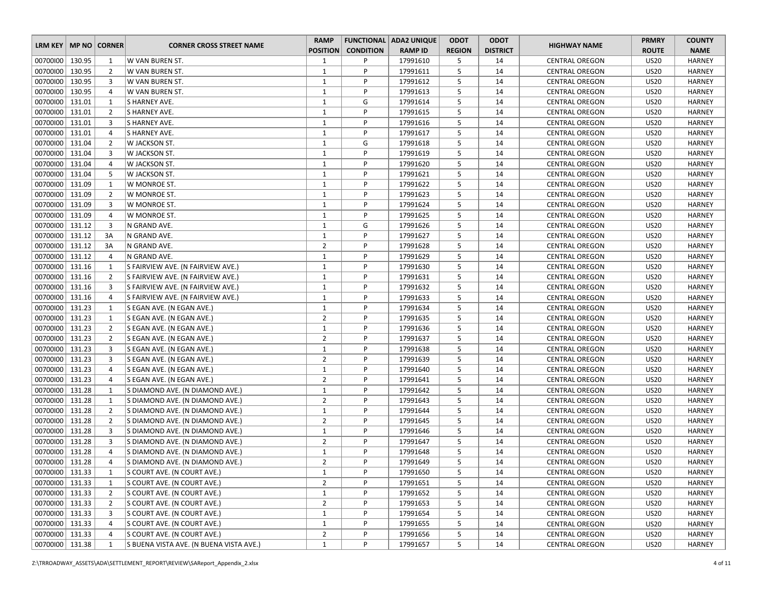| LRM KEY   MP NO   CORNER<br><b>HIGHWAY NAME</b><br><b>CORNER CROSS STREET NAME</b><br><b>POSITION</b><br><b>CONDITION</b><br><b>RAMP ID</b><br><b>REGION</b><br><b>DISTRICT</b><br><b>ROUTE</b><br><b>NAME</b><br>00700100<br>130.95<br>W VAN BUREN ST.<br>P<br>17991610<br>5<br><b>US20</b><br><b>HARNEY</b><br>1<br>1<br><b>CENTRAL OREGON</b><br>14<br>00700100 130.95<br>$\overline{2}$<br>$\mathbf{1}$<br>P<br>17991611<br>5<br>14<br><b>US20</b><br><b>HARNEY</b><br>W VAN BUREN ST.<br><b>CENTRAL OREGON</b><br>00700100 130.95<br>5<br>3<br>$\mathbf{1}$<br>P<br>14<br><b>US20</b><br>W VAN BUREN ST.<br>17991612<br><b>HARNEY</b><br><b>CENTRAL OREGON</b><br>00700100 130.95<br>$\mathbf{1}$<br>P<br>5<br>17991613<br>14<br><b>US20</b><br><b>HARNEY</b><br>4<br>W VAN BUREN ST.<br><b>CENTRAL OREGON</b><br>00700100   131.01<br>$\mathbf{1}$<br>G<br>17991614<br>5<br>14<br><b>US20</b><br>1<br>S HARNEY AVE.<br><b>CENTRAL OREGON</b><br><b>HARNEY</b><br>00700100 131.01<br>$\overline{2}$<br>$\mathbf{1}$<br>P<br>5<br><b>US20</b><br>S HARNEY AVE.<br>17991615<br>14<br><b>CENTRAL OREGON</b><br><b>HARNEY</b><br>00700100 131.01<br>5<br>3<br>S HARNEY AVE.<br>$\mathbf{1}$<br>P<br>17991616<br>14<br><b>US20</b><br><b>HARNEY</b><br><b>CENTRAL OREGON</b><br>00700100   131.01<br>$\mathbf{1}$<br>P<br>5<br>14<br><b>US20</b><br>4<br>S HARNEY AVE.<br>17991617<br><b>CENTRAL OREGON</b><br><b>HARNEY</b><br>00700100 131.04<br>G<br>5<br>$\overline{2}$<br>W JACKSON ST.<br>$\mathbf{1}$<br>17991618<br>14<br><b>US20</b><br><b>HARNEY</b><br><b>CENTRAL OREGON</b><br>00700100<br>131.04<br>$\mathbf{1}$<br>P<br>3<br>W JACKSON ST.<br>17991619<br>5<br>14<br><b>US20</b><br><b>HARNEY</b><br><b>CENTRAL OREGON</b><br>00700100 131.04<br>$\mathbf{1}$<br>5<br>4<br>W JACKSON ST.<br>P<br>17991620<br>14<br><b>US20</b><br><b>HARNEY</b><br><b>CENTRAL OREGON</b><br>00700100 131.04<br>5<br>5<br>$\mathbf{1}$<br>P<br>14<br><b>US20</b><br>W JACKSON ST.<br>17991621<br><b>CENTRAL OREGON</b><br><b>HARNEY</b><br>P<br>5<br>00700100   131.09<br>$\mathbf{1}$<br>17991622<br>14<br><b>US20</b><br><b>HARNEY</b><br>1<br>W MONROE ST.<br><b>CENTRAL OREGON</b><br>00700100 131.09<br>$\mathbf{1}$<br>5<br>$\overline{2}$<br>P<br>17991623<br>14<br><b>US20</b><br><b>HARNEY</b><br>W MONROE ST.<br><b>CENTRAL OREGON</b><br>00700100<br>3<br>$\mathbf{1}$<br>131.09<br>P<br>17991624<br>5<br>14<br><b>US20</b><br><b>HARNEY</b><br>W MONROE ST.<br><b>CENTRAL OREGON</b><br>00700100   131.09<br>$\mathbf{1}$<br>P<br>17991625<br>5<br><b>US20</b><br><b>HARNEY</b><br>4<br>W MONROE ST.<br>14<br><b>CENTRAL OREGON</b><br>00700100 131.12<br>$\overline{3}$<br>$\mathbf{1}$<br>G<br>17991626<br>5<br>14<br><b>US20</b><br>N GRAND AVE.<br><b>CENTRAL OREGON</b><br><b>HARNEY</b><br>00700100 131.12<br>$\mathbf{1}$<br>P<br>5<br>3A<br>N GRAND AVE.<br>17991627<br>14<br><b>US20</b><br><b>HARNEY</b><br><b>CENTRAL OREGON</b><br>00700100 131.12<br>$\overline{2}$<br>P<br>5<br>3A<br>N GRAND AVE.<br>17991628<br>14<br><b>US20</b><br><b>CENTRAL OREGON</b><br><b>HARNEY</b><br>00700100 131.12<br>$\mathbf{1}$<br>5<br>$\overline{4}$<br>N GRAND AVE.<br>P<br>17991629<br>14<br><b>US20</b><br><b>HARNEY</b><br><b>CENTRAL OREGON</b><br>00700100   131.16<br>$\mathbf{1}$<br>P<br>5<br>1<br>S FAIRVIEW AVE. (N FAIRVIEW AVE.)<br>17991630<br>14<br><b>CENTRAL OREGON</b><br>US20<br><b>HARNEY</b><br>$\overline{2}$<br>$\mathbf{1}$<br>P<br>5<br>00700100 131.16<br>17991631<br>14<br><b>US20</b><br><b>HARNEY</b><br>S FAIRVIEW AVE. (N FAIRVIEW AVE.)<br><b>CENTRAL OREGON</b><br>00700100 131.16<br>P<br>3<br>$\mathbf{1}$<br>17991632<br>5<br>14<br><b>US20</b><br><b>HARNEY</b><br>S FAIRVIEW AVE. (N FAIRVIEW AVE.)<br><b>CENTRAL OREGON</b> |
|------------------------------------------------------------------------------------------------------------------------------------------------------------------------------------------------------------------------------------------------------------------------------------------------------------------------------------------------------------------------------------------------------------------------------------------------------------------------------------------------------------------------------------------------------------------------------------------------------------------------------------------------------------------------------------------------------------------------------------------------------------------------------------------------------------------------------------------------------------------------------------------------------------------------------------------------------------------------------------------------------------------------------------------------------------------------------------------------------------------------------------------------------------------------------------------------------------------------------------------------------------------------------------------------------------------------------------------------------------------------------------------------------------------------------------------------------------------------------------------------------------------------------------------------------------------------------------------------------------------------------------------------------------------------------------------------------------------------------------------------------------------------------------------------------------------------------------------------------------------------------------------------------------------------------------------------------------------------------------------------------------------------------------------------------------------------------------------------------------------------------------------------------------------------------------------------------------------------------------------------------------------------------------------------------------------------------------------------------------------------------------------------------------------------------------------------------------------------------------------------------------------------------------------------------------------------------------------------------------------------------------------------------------------------------------------------------------------------------------------------------------------------------------------------------------------------------------------------------------------------------------------------------------------------------------------------------------------------------------------------------------------------------------------------------------------------------------------------------------------------------------------------------------------------------------------------------------------------------------------------------------------------------------------------------------------------------------------------------------------------------------------------------------------------------------------------------------------------------------------------------------------------------------------------------------------------------------------------------------------------------------------------------------------------------------------------------------------------------------------------------------------------------|
|                                                                                                                                                                                                                                                                                                                                                                                                                                                                                                                                                                                                                                                                                                                                                                                                                                                                                                                                                                                                                                                                                                                                                                                                                                                                                                                                                                                                                                                                                                                                                                                                                                                                                                                                                                                                                                                                                                                                                                                                                                                                                                                                                                                                                                                                                                                                                                                                                                                                                                                                                                                                                                                                                                                                                                                                                                                                                                                                                                                                                                                                                                                                                                                                                                                                                                                                                                                                                                                                                                                                                                                                                                                                                                                                                                              |
|                                                                                                                                                                                                                                                                                                                                                                                                                                                                                                                                                                                                                                                                                                                                                                                                                                                                                                                                                                                                                                                                                                                                                                                                                                                                                                                                                                                                                                                                                                                                                                                                                                                                                                                                                                                                                                                                                                                                                                                                                                                                                                                                                                                                                                                                                                                                                                                                                                                                                                                                                                                                                                                                                                                                                                                                                                                                                                                                                                                                                                                                                                                                                                                                                                                                                                                                                                                                                                                                                                                                                                                                                                                                                                                                                                              |
|                                                                                                                                                                                                                                                                                                                                                                                                                                                                                                                                                                                                                                                                                                                                                                                                                                                                                                                                                                                                                                                                                                                                                                                                                                                                                                                                                                                                                                                                                                                                                                                                                                                                                                                                                                                                                                                                                                                                                                                                                                                                                                                                                                                                                                                                                                                                                                                                                                                                                                                                                                                                                                                                                                                                                                                                                                                                                                                                                                                                                                                                                                                                                                                                                                                                                                                                                                                                                                                                                                                                                                                                                                                                                                                                                                              |
|                                                                                                                                                                                                                                                                                                                                                                                                                                                                                                                                                                                                                                                                                                                                                                                                                                                                                                                                                                                                                                                                                                                                                                                                                                                                                                                                                                                                                                                                                                                                                                                                                                                                                                                                                                                                                                                                                                                                                                                                                                                                                                                                                                                                                                                                                                                                                                                                                                                                                                                                                                                                                                                                                                                                                                                                                                                                                                                                                                                                                                                                                                                                                                                                                                                                                                                                                                                                                                                                                                                                                                                                                                                                                                                                                                              |
|                                                                                                                                                                                                                                                                                                                                                                                                                                                                                                                                                                                                                                                                                                                                                                                                                                                                                                                                                                                                                                                                                                                                                                                                                                                                                                                                                                                                                                                                                                                                                                                                                                                                                                                                                                                                                                                                                                                                                                                                                                                                                                                                                                                                                                                                                                                                                                                                                                                                                                                                                                                                                                                                                                                                                                                                                                                                                                                                                                                                                                                                                                                                                                                                                                                                                                                                                                                                                                                                                                                                                                                                                                                                                                                                                                              |
|                                                                                                                                                                                                                                                                                                                                                                                                                                                                                                                                                                                                                                                                                                                                                                                                                                                                                                                                                                                                                                                                                                                                                                                                                                                                                                                                                                                                                                                                                                                                                                                                                                                                                                                                                                                                                                                                                                                                                                                                                                                                                                                                                                                                                                                                                                                                                                                                                                                                                                                                                                                                                                                                                                                                                                                                                                                                                                                                                                                                                                                                                                                                                                                                                                                                                                                                                                                                                                                                                                                                                                                                                                                                                                                                                                              |
|                                                                                                                                                                                                                                                                                                                                                                                                                                                                                                                                                                                                                                                                                                                                                                                                                                                                                                                                                                                                                                                                                                                                                                                                                                                                                                                                                                                                                                                                                                                                                                                                                                                                                                                                                                                                                                                                                                                                                                                                                                                                                                                                                                                                                                                                                                                                                                                                                                                                                                                                                                                                                                                                                                                                                                                                                                                                                                                                                                                                                                                                                                                                                                                                                                                                                                                                                                                                                                                                                                                                                                                                                                                                                                                                                                              |
|                                                                                                                                                                                                                                                                                                                                                                                                                                                                                                                                                                                                                                                                                                                                                                                                                                                                                                                                                                                                                                                                                                                                                                                                                                                                                                                                                                                                                                                                                                                                                                                                                                                                                                                                                                                                                                                                                                                                                                                                                                                                                                                                                                                                                                                                                                                                                                                                                                                                                                                                                                                                                                                                                                                                                                                                                                                                                                                                                                                                                                                                                                                                                                                                                                                                                                                                                                                                                                                                                                                                                                                                                                                                                                                                                                              |
|                                                                                                                                                                                                                                                                                                                                                                                                                                                                                                                                                                                                                                                                                                                                                                                                                                                                                                                                                                                                                                                                                                                                                                                                                                                                                                                                                                                                                                                                                                                                                                                                                                                                                                                                                                                                                                                                                                                                                                                                                                                                                                                                                                                                                                                                                                                                                                                                                                                                                                                                                                                                                                                                                                                                                                                                                                                                                                                                                                                                                                                                                                                                                                                                                                                                                                                                                                                                                                                                                                                                                                                                                                                                                                                                                                              |
|                                                                                                                                                                                                                                                                                                                                                                                                                                                                                                                                                                                                                                                                                                                                                                                                                                                                                                                                                                                                                                                                                                                                                                                                                                                                                                                                                                                                                                                                                                                                                                                                                                                                                                                                                                                                                                                                                                                                                                                                                                                                                                                                                                                                                                                                                                                                                                                                                                                                                                                                                                                                                                                                                                                                                                                                                                                                                                                                                                                                                                                                                                                                                                                                                                                                                                                                                                                                                                                                                                                                                                                                                                                                                                                                                                              |
|                                                                                                                                                                                                                                                                                                                                                                                                                                                                                                                                                                                                                                                                                                                                                                                                                                                                                                                                                                                                                                                                                                                                                                                                                                                                                                                                                                                                                                                                                                                                                                                                                                                                                                                                                                                                                                                                                                                                                                                                                                                                                                                                                                                                                                                                                                                                                                                                                                                                                                                                                                                                                                                                                                                                                                                                                                                                                                                                                                                                                                                                                                                                                                                                                                                                                                                                                                                                                                                                                                                                                                                                                                                                                                                                                                              |
|                                                                                                                                                                                                                                                                                                                                                                                                                                                                                                                                                                                                                                                                                                                                                                                                                                                                                                                                                                                                                                                                                                                                                                                                                                                                                                                                                                                                                                                                                                                                                                                                                                                                                                                                                                                                                                                                                                                                                                                                                                                                                                                                                                                                                                                                                                                                                                                                                                                                                                                                                                                                                                                                                                                                                                                                                                                                                                                                                                                                                                                                                                                                                                                                                                                                                                                                                                                                                                                                                                                                                                                                                                                                                                                                                                              |
|                                                                                                                                                                                                                                                                                                                                                                                                                                                                                                                                                                                                                                                                                                                                                                                                                                                                                                                                                                                                                                                                                                                                                                                                                                                                                                                                                                                                                                                                                                                                                                                                                                                                                                                                                                                                                                                                                                                                                                                                                                                                                                                                                                                                                                                                                                                                                                                                                                                                                                                                                                                                                                                                                                                                                                                                                                                                                                                                                                                                                                                                                                                                                                                                                                                                                                                                                                                                                                                                                                                                                                                                                                                                                                                                                                              |
|                                                                                                                                                                                                                                                                                                                                                                                                                                                                                                                                                                                                                                                                                                                                                                                                                                                                                                                                                                                                                                                                                                                                                                                                                                                                                                                                                                                                                                                                                                                                                                                                                                                                                                                                                                                                                                                                                                                                                                                                                                                                                                                                                                                                                                                                                                                                                                                                                                                                                                                                                                                                                                                                                                                                                                                                                                                                                                                                                                                                                                                                                                                                                                                                                                                                                                                                                                                                                                                                                                                                                                                                                                                                                                                                                                              |
|                                                                                                                                                                                                                                                                                                                                                                                                                                                                                                                                                                                                                                                                                                                                                                                                                                                                                                                                                                                                                                                                                                                                                                                                                                                                                                                                                                                                                                                                                                                                                                                                                                                                                                                                                                                                                                                                                                                                                                                                                                                                                                                                                                                                                                                                                                                                                                                                                                                                                                                                                                                                                                                                                                                                                                                                                                                                                                                                                                                                                                                                                                                                                                                                                                                                                                                                                                                                                                                                                                                                                                                                                                                                                                                                                                              |
|                                                                                                                                                                                                                                                                                                                                                                                                                                                                                                                                                                                                                                                                                                                                                                                                                                                                                                                                                                                                                                                                                                                                                                                                                                                                                                                                                                                                                                                                                                                                                                                                                                                                                                                                                                                                                                                                                                                                                                                                                                                                                                                                                                                                                                                                                                                                                                                                                                                                                                                                                                                                                                                                                                                                                                                                                                                                                                                                                                                                                                                                                                                                                                                                                                                                                                                                                                                                                                                                                                                                                                                                                                                                                                                                                                              |
|                                                                                                                                                                                                                                                                                                                                                                                                                                                                                                                                                                                                                                                                                                                                                                                                                                                                                                                                                                                                                                                                                                                                                                                                                                                                                                                                                                                                                                                                                                                                                                                                                                                                                                                                                                                                                                                                                                                                                                                                                                                                                                                                                                                                                                                                                                                                                                                                                                                                                                                                                                                                                                                                                                                                                                                                                                                                                                                                                                                                                                                                                                                                                                                                                                                                                                                                                                                                                                                                                                                                                                                                                                                                                                                                                                              |
|                                                                                                                                                                                                                                                                                                                                                                                                                                                                                                                                                                                                                                                                                                                                                                                                                                                                                                                                                                                                                                                                                                                                                                                                                                                                                                                                                                                                                                                                                                                                                                                                                                                                                                                                                                                                                                                                                                                                                                                                                                                                                                                                                                                                                                                                                                                                                                                                                                                                                                                                                                                                                                                                                                                                                                                                                                                                                                                                                                                                                                                                                                                                                                                                                                                                                                                                                                                                                                                                                                                                                                                                                                                                                                                                                                              |
|                                                                                                                                                                                                                                                                                                                                                                                                                                                                                                                                                                                                                                                                                                                                                                                                                                                                                                                                                                                                                                                                                                                                                                                                                                                                                                                                                                                                                                                                                                                                                                                                                                                                                                                                                                                                                                                                                                                                                                                                                                                                                                                                                                                                                                                                                                                                                                                                                                                                                                                                                                                                                                                                                                                                                                                                                                                                                                                                                                                                                                                                                                                                                                                                                                                                                                                                                                                                                                                                                                                                                                                                                                                                                                                                                                              |
|                                                                                                                                                                                                                                                                                                                                                                                                                                                                                                                                                                                                                                                                                                                                                                                                                                                                                                                                                                                                                                                                                                                                                                                                                                                                                                                                                                                                                                                                                                                                                                                                                                                                                                                                                                                                                                                                                                                                                                                                                                                                                                                                                                                                                                                                                                                                                                                                                                                                                                                                                                                                                                                                                                                                                                                                                                                                                                                                                                                                                                                                                                                                                                                                                                                                                                                                                                                                                                                                                                                                                                                                                                                                                                                                                                              |
|                                                                                                                                                                                                                                                                                                                                                                                                                                                                                                                                                                                                                                                                                                                                                                                                                                                                                                                                                                                                                                                                                                                                                                                                                                                                                                                                                                                                                                                                                                                                                                                                                                                                                                                                                                                                                                                                                                                                                                                                                                                                                                                                                                                                                                                                                                                                                                                                                                                                                                                                                                                                                                                                                                                                                                                                                                                                                                                                                                                                                                                                                                                                                                                                                                                                                                                                                                                                                                                                                                                                                                                                                                                                                                                                                                              |
|                                                                                                                                                                                                                                                                                                                                                                                                                                                                                                                                                                                                                                                                                                                                                                                                                                                                                                                                                                                                                                                                                                                                                                                                                                                                                                                                                                                                                                                                                                                                                                                                                                                                                                                                                                                                                                                                                                                                                                                                                                                                                                                                                                                                                                                                                                                                                                                                                                                                                                                                                                                                                                                                                                                                                                                                                                                                                                                                                                                                                                                                                                                                                                                                                                                                                                                                                                                                                                                                                                                                                                                                                                                                                                                                                                              |
|                                                                                                                                                                                                                                                                                                                                                                                                                                                                                                                                                                                                                                                                                                                                                                                                                                                                                                                                                                                                                                                                                                                                                                                                                                                                                                                                                                                                                                                                                                                                                                                                                                                                                                                                                                                                                                                                                                                                                                                                                                                                                                                                                                                                                                                                                                                                                                                                                                                                                                                                                                                                                                                                                                                                                                                                                                                                                                                                                                                                                                                                                                                                                                                                                                                                                                                                                                                                                                                                                                                                                                                                                                                                                                                                                                              |
|                                                                                                                                                                                                                                                                                                                                                                                                                                                                                                                                                                                                                                                                                                                                                                                                                                                                                                                                                                                                                                                                                                                                                                                                                                                                                                                                                                                                                                                                                                                                                                                                                                                                                                                                                                                                                                                                                                                                                                                                                                                                                                                                                                                                                                                                                                                                                                                                                                                                                                                                                                                                                                                                                                                                                                                                                                                                                                                                                                                                                                                                                                                                                                                                                                                                                                                                                                                                                                                                                                                                                                                                                                                                                                                                                                              |
| 00700100 131.16<br>$\mathbf{1}$<br>P<br>17991633<br>5<br><b>US20</b><br>4<br>S FAIRVIEW AVE. (N FAIRVIEW AVE.)<br>14<br><b>CENTRAL OREGON</b><br><b>HARNEY</b>                                                                                                                                                                                                                                                                                                                                                                                                                                                                                                                                                                                                                                                                                                                                                                                                                                                                                                                                                                                                                                                                                                                                                                                                                                                                                                                                                                                                                                                                                                                                                                                                                                                                                                                                                                                                                                                                                                                                                                                                                                                                                                                                                                                                                                                                                                                                                                                                                                                                                                                                                                                                                                                                                                                                                                                                                                                                                                                                                                                                                                                                                                                                                                                                                                                                                                                                                                                                                                                                                                                                                                                                               |
| 00700100 131.23<br>$\mathbf{1}$<br>P<br>17991634<br>5<br><b>US20</b><br><b>HARNEY</b><br>1<br>S EGAN AVE. (N EGAN AVE.)<br>14<br><b>CENTRAL OREGON</b>                                                                                                                                                                                                                                                                                                                                                                                                                                                                                                                                                                                                                                                                                                                                                                                                                                                                                                                                                                                                                                                                                                                                                                                                                                                                                                                                                                                                                                                                                                                                                                                                                                                                                                                                                                                                                                                                                                                                                                                                                                                                                                                                                                                                                                                                                                                                                                                                                                                                                                                                                                                                                                                                                                                                                                                                                                                                                                                                                                                                                                                                                                                                                                                                                                                                                                                                                                                                                                                                                                                                                                                                                       |
| 00700100 131.23<br>$\overline{2}$<br>5<br>$\mathbf{1}$<br>P<br>17991635<br>14<br><b>US20</b><br><b>HARNEY</b><br>S EGAN AVE. (N EGAN AVE.)<br><b>CENTRAL OREGON</b>                                                                                                                                                                                                                                                                                                                                                                                                                                                                                                                                                                                                                                                                                                                                                                                                                                                                                                                                                                                                                                                                                                                                                                                                                                                                                                                                                                                                                                                                                                                                                                                                                                                                                                                                                                                                                                                                                                                                                                                                                                                                                                                                                                                                                                                                                                                                                                                                                                                                                                                                                                                                                                                                                                                                                                                                                                                                                                                                                                                                                                                                                                                                                                                                                                                                                                                                                                                                                                                                                                                                                                                                          |
| 00700100 131.23<br>$\mathbf{1}$<br>5<br>$\overline{2}$<br>P<br>17991636<br>14<br><b>US20</b><br><b>HARNEY</b><br>S EGAN AVE. (N EGAN AVE.)<br><b>CENTRAL OREGON</b>                                                                                                                                                                                                                                                                                                                                                                                                                                                                                                                                                                                                                                                                                                                                                                                                                                                                                                                                                                                                                                                                                                                                                                                                                                                                                                                                                                                                                                                                                                                                                                                                                                                                                                                                                                                                                                                                                                                                                                                                                                                                                                                                                                                                                                                                                                                                                                                                                                                                                                                                                                                                                                                                                                                                                                                                                                                                                                                                                                                                                                                                                                                                                                                                                                                                                                                                                                                                                                                                                                                                                                                                          |
| 00700100 131.23<br>$\overline{2}$<br>P<br>5<br>$\overline{2}$<br>17991637<br>14<br><b>US20</b><br> S EGAN AVE. (N EGAN AVE.)<br><b>CENTRAL OREGON</b><br><b>HARNEY</b>                                                                                                                                                                                                                                                                                                                                                                                                                                                                                                                                                                                                                                                                                                                                                                                                                                                                                                                                                                                                                                                                                                                                                                                                                                                                                                                                                                                                                                                                                                                                                                                                                                                                                                                                                                                                                                                                                                                                                                                                                                                                                                                                                                                                                                                                                                                                                                                                                                                                                                                                                                                                                                                                                                                                                                                                                                                                                                                                                                                                                                                                                                                                                                                                                                                                                                                                                                                                                                                                                                                                                                                                       |
| 00700100 131.23<br>3<br>$\mathbf{1}$<br>P<br>17991638<br>5<br>14<br><b>US20</b><br><b>HARNEY</b><br>S EGAN AVE. (N EGAN AVE.)<br><b>CENTRAL OREGON</b>                                                                                                                                                                                                                                                                                                                                                                                                                                                                                                                                                                                                                                                                                                                                                                                                                                                                                                                                                                                                                                                                                                                                                                                                                                                                                                                                                                                                                                                                                                                                                                                                                                                                                                                                                                                                                                                                                                                                                                                                                                                                                                                                                                                                                                                                                                                                                                                                                                                                                                                                                                                                                                                                                                                                                                                                                                                                                                                                                                                                                                                                                                                                                                                                                                                                                                                                                                                                                                                                                                                                                                                                                       |
| $\overline{2}$<br>00700100   131.23<br>3<br>P<br>5<br>14<br><b>US20</b><br><b>HARNEY</b><br>S EGAN AVE. (N EGAN AVE.)<br>17991639<br><b>CENTRAL OREGON</b>                                                                                                                                                                                                                                                                                                                                                                                                                                                                                                                                                                                                                                                                                                                                                                                                                                                                                                                                                                                                                                                                                                                                                                                                                                                                                                                                                                                                                                                                                                                                                                                                                                                                                                                                                                                                                                                                                                                                                                                                                                                                                                                                                                                                                                                                                                                                                                                                                                                                                                                                                                                                                                                                                                                                                                                                                                                                                                                                                                                                                                                                                                                                                                                                                                                                                                                                                                                                                                                                                                                                                                                                                   |
| P<br>5<br>00700100   131.23<br>$\overline{4}$<br>$\mathbf{1}$<br>17991640<br>14<br><b>US20</b><br><b>HARNEY</b><br>S EGAN AVE. (N EGAN AVE.)<br><b>CENTRAL OREGON</b>                                                                                                                                                                                                                                                                                                                                                                                                                                                                                                                                                                                                                                                                                                                                                                                                                                                                                                                                                                                                                                                                                                                                                                                                                                                                                                                                                                                                                                                                                                                                                                                                                                                                                                                                                                                                                                                                                                                                                                                                                                                                                                                                                                                                                                                                                                                                                                                                                                                                                                                                                                                                                                                                                                                                                                                                                                                                                                                                                                                                                                                                                                                                                                                                                                                                                                                                                                                                                                                                                                                                                                                                        |
| 00700100 131.23<br>$\overline{2}$<br>P<br>17991641<br>5<br>14<br><b>US20</b><br>4<br> S EGAN AVE. (N EGAN AVE.)<br><b>CENTRAL OREGON</b><br><b>HARNEY</b>                                                                                                                                                                                                                                                                                                                                                                                                                                                                                                                                                                                                                                                                                                                                                                                                                                                                                                                                                                                                                                                                                                                                                                                                                                                                                                                                                                                                                                                                                                                                                                                                                                                                                                                                                                                                                                                                                                                                                                                                                                                                                                                                                                                                                                                                                                                                                                                                                                                                                                                                                                                                                                                                                                                                                                                                                                                                                                                                                                                                                                                                                                                                                                                                                                                                                                                                                                                                                                                                                                                                                                                                                    |
| 00700100<br>131.28<br>$\mathbf{1}$<br>$\mathbf{1}$<br>P<br>17991642<br>5<br>14<br><b>US20</b><br><b>HARNEY</b><br>S DIAMOND AVE. (N DIAMOND AVE.)<br><b>CENTRAL OREGON</b>                                                                                                                                                                                                                                                                                                                                                                                                                                                                                                                                                                                                                                                                                                                                                                                                                                                                                                                                                                                                                                                                                                                                                                                                                                                                                                                                                                                                                                                                                                                                                                                                                                                                                                                                                                                                                                                                                                                                                                                                                                                                                                                                                                                                                                                                                                                                                                                                                                                                                                                                                                                                                                                                                                                                                                                                                                                                                                                                                                                                                                                                                                                                                                                                                                                                                                                                                                                                                                                                                                                                                                                                   |
| 00700100 131.28<br>$\overline{2}$<br>$\mathbf{1}$<br>P<br>17991643<br>5<br>14<br><b>US20</b><br><b>HARNEY</b><br>S DIAMOND AVE. (N DIAMOND AVE.)<br><b>CENTRAL OREGON</b>                                                                                                                                                                                                                                                                                                                                                                                                                                                                                                                                                                                                                                                                                                                                                                                                                                                                                                                                                                                                                                                                                                                                                                                                                                                                                                                                                                                                                                                                                                                                                                                                                                                                                                                                                                                                                                                                                                                                                                                                                                                                                                                                                                                                                                                                                                                                                                                                                                                                                                                                                                                                                                                                                                                                                                                                                                                                                                                                                                                                                                                                                                                                                                                                                                                                                                                                                                                                                                                                                                                                                                                                    |
| $\overline{2}$<br>5<br>00700100   131.28<br>$\mathbf{1}$<br>P<br>14<br><b>US20</b><br>S DIAMOND AVE. (N DIAMOND AVE.)<br>17991644<br><b>HARNEY</b><br><b>CENTRAL OREGON</b>                                                                                                                                                                                                                                                                                                                                                                                                                                                                                                                                                                                                                                                                                                                                                                                                                                                                                                                                                                                                                                                                                                                                                                                                                                                                                                                                                                                                                                                                                                                                                                                                                                                                                                                                                                                                                                                                                                                                                                                                                                                                                                                                                                                                                                                                                                                                                                                                                                                                                                                                                                                                                                                                                                                                                                                                                                                                                                                                                                                                                                                                                                                                                                                                                                                                                                                                                                                                                                                                                                                                                                                                  |
| $\overline{2}$<br>5<br>00700100 131.28<br>$\overline{2}$<br>P<br>17991645<br>14<br><b>US20</b><br><b>HARNEY</b><br>S DIAMOND AVE. (N DIAMOND AVE.)<br><b>CENTRAL OREGON</b>                                                                                                                                                                                                                                                                                                                                                                                                                                                                                                                                                                                                                                                                                                                                                                                                                                                                                                                                                                                                                                                                                                                                                                                                                                                                                                                                                                                                                                                                                                                                                                                                                                                                                                                                                                                                                                                                                                                                                                                                                                                                                                                                                                                                                                                                                                                                                                                                                                                                                                                                                                                                                                                                                                                                                                                                                                                                                                                                                                                                                                                                                                                                                                                                                                                                                                                                                                                                                                                                                                                                                                                                  |
| P<br>5<br>00700100   131.28<br>3<br>$\mathbf{1}$<br>17991646<br>14<br><b>US20</b><br>S DIAMOND AVE. (N DIAMOND AVE.)<br><b>CENTRAL OREGON</b><br><b>HARNEY</b>                                                                                                                                                                                                                                                                                                                                                                                                                                                                                                                                                                                                                                                                                                                                                                                                                                                                                                                                                                                                                                                                                                                                                                                                                                                                                                                                                                                                                                                                                                                                                                                                                                                                                                                                                                                                                                                                                                                                                                                                                                                                                                                                                                                                                                                                                                                                                                                                                                                                                                                                                                                                                                                                                                                                                                                                                                                                                                                                                                                                                                                                                                                                                                                                                                                                                                                                                                                                                                                                                                                                                                                                               |
| 00700100 131.28<br>3<br>$\overline{2}$<br>5<br>P<br>14<br><b>US20</b><br>S DIAMOND AVE. (N DIAMOND AVE.)<br>17991647<br><b>CENTRAL OREGON</b><br><b>HARNEY</b>                                                                                                                                                                                                                                                                                                                                                                                                                                                                                                                                                                                                                                                                                                                                                                                                                                                                                                                                                                                                                                                                                                                                                                                                                                                                                                                                                                                                                                                                                                                                                                                                                                                                                                                                                                                                                                                                                                                                                                                                                                                                                                                                                                                                                                                                                                                                                                                                                                                                                                                                                                                                                                                                                                                                                                                                                                                                                                                                                                                                                                                                                                                                                                                                                                                                                                                                                                                                                                                                                                                                                                                                               |
| 00700100   131.28<br>$\mathbf{1}$<br>P<br>17991648<br>5<br>14<br><b>US20</b><br>4<br>S DIAMOND AVE. (N DIAMOND AVE.)<br><b>CENTRAL OREGON</b><br><b>HARNEY</b>                                                                                                                                                                                                                                                                                                                                                                                                                                                                                                                                                                                                                                                                                                                                                                                                                                                                                                                                                                                                                                                                                                                                                                                                                                                                                                                                                                                                                                                                                                                                                                                                                                                                                                                                                                                                                                                                                                                                                                                                                                                                                                                                                                                                                                                                                                                                                                                                                                                                                                                                                                                                                                                                                                                                                                                                                                                                                                                                                                                                                                                                                                                                                                                                                                                                                                                                                                                                                                                                                                                                                                                                               |
| $\overline{2}$<br>P<br>5<br>00700100   131.28<br>14<br><b>US20</b><br>4<br>S DIAMOND AVE. (N DIAMOND AVE.)<br>17991649<br><b>CENTRAL OREGON</b><br><b>HARNEY</b>                                                                                                                                                                                                                                                                                                                                                                                                                                                                                                                                                                                                                                                                                                                                                                                                                                                                                                                                                                                                                                                                                                                                                                                                                                                                                                                                                                                                                                                                                                                                                                                                                                                                                                                                                                                                                                                                                                                                                                                                                                                                                                                                                                                                                                                                                                                                                                                                                                                                                                                                                                                                                                                                                                                                                                                                                                                                                                                                                                                                                                                                                                                                                                                                                                                                                                                                                                                                                                                                                                                                                                                                             |
| 00700100   131.33<br>S COURT AVE. (N COURT AVE.)<br>P<br>17991650<br>5<br>$\mathbf{1}$<br><b>CENTRAL OREGON</b><br>US20<br><b>HARNEY</b><br>$\mathbf{1}$<br>14                                                                                                                                                                                                                                                                                                                                                                                                                                                                                                                                                                                                                                                                                                                                                                                                                                                                                                                                                                                                                                                                                                                                                                                                                                                                                                                                                                                                                                                                                                                                                                                                                                                                                                                                                                                                                                                                                                                                                                                                                                                                                                                                                                                                                                                                                                                                                                                                                                                                                                                                                                                                                                                                                                                                                                                                                                                                                                                                                                                                                                                                                                                                                                                                                                                                                                                                                                                                                                                                                                                                                                                                               |
| 00700100 131.33<br>$\overline{2}$<br>$\mathbf{1}$<br>S COURT AVE. (N COURT AVE.)<br>P<br>17991651<br>5<br>14<br><b>CENTRAL OREGON</b><br><b>US20</b><br><b>HARNEY</b>                                                                                                                                                                                                                                                                                                                                                                                                                                                                                                                                                                                                                                                                                                                                                                                                                                                                                                                                                                                                                                                                                                                                                                                                                                                                                                                                                                                                                                                                                                                                                                                                                                                                                                                                                                                                                                                                                                                                                                                                                                                                                                                                                                                                                                                                                                                                                                                                                                                                                                                                                                                                                                                                                                                                                                                                                                                                                                                                                                                                                                                                                                                                                                                                                                                                                                                                                                                                                                                                                                                                                                                                        |
| 00700100 131.33<br>$\overline{2}$<br>S COURT AVE. (N COURT AVE.)<br>$\mathbf{1}$<br>P<br>17991652<br>5<br>14<br><b>CENTRAL OREGON</b><br><b>US20</b><br><b>HARNEY</b>                                                                                                                                                                                                                                                                                                                                                                                                                                                                                                                                                                                                                                                                                                                                                                                                                                                                                                                                                                                                                                                                                                                                                                                                                                                                                                                                                                                                                                                                                                                                                                                                                                                                                                                                                                                                                                                                                                                                                                                                                                                                                                                                                                                                                                                                                                                                                                                                                                                                                                                                                                                                                                                                                                                                                                                                                                                                                                                                                                                                                                                                                                                                                                                                                                                                                                                                                                                                                                                                                                                                                                                                        |
| $\overline{2}$<br>00700100 131.33<br>$\overline{2}$<br>S COURT AVE. (N COURT AVE.)<br>P<br>5<br>14<br>17991653<br><b>CENTRAL OREGON</b><br>US20<br><b>HARNEY</b>                                                                                                                                                                                                                                                                                                                                                                                                                                                                                                                                                                                                                                                                                                                                                                                                                                                                                                                                                                                                                                                                                                                                                                                                                                                                                                                                                                                                                                                                                                                                                                                                                                                                                                                                                                                                                                                                                                                                                                                                                                                                                                                                                                                                                                                                                                                                                                                                                                                                                                                                                                                                                                                                                                                                                                                                                                                                                                                                                                                                                                                                                                                                                                                                                                                                                                                                                                                                                                                                                                                                                                                                             |
| 00700100 131.33<br>3<br>S COURT AVE. (N COURT AVE.)<br>P<br>5<br>14<br>1<br>17991654<br><b>CENTRAL OREGON</b><br>US20<br><b>HARNEY</b>                                                                                                                                                                                                                                                                                                                                                                                                                                                                                                                                                                                                                                                                                                                                                                                                                                                                                                                                                                                                                                                                                                                                                                                                                                                                                                                                                                                                                                                                                                                                                                                                                                                                                                                                                                                                                                                                                                                                                                                                                                                                                                                                                                                                                                                                                                                                                                                                                                                                                                                                                                                                                                                                                                                                                                                                                                                                                                                                                                                                                                                                                                                                                                                                                                                                                                                                                                                                                                                                                                                                                                                                                                       |
| $\mathbf{1}$<br>5<br>00700100 131.33<br>4<br>S COURT AVE. (N COURT AVE.)<br>P<br>17991655<br>14<br><b>US20</b><br><b>CENTRAL OREGON</b><br>HARNEY                                                                                                                                                                                                                                                                                                                                                                                                                                                                                                                                                                                                                                                                                                                                                                                                                                                                                                                                                                                                                                                                                                                                                                                                                                                                                                                                                                                                                                                                                                                                                                                                                                                                                                                                                                                                                                                                                                                                                                                                                                                                                                                                                                                                                                                                                                                                                                                                                                                                                                                                                                                                                                                                                                                                                                                                                                                                                                                                                                                                                                                                                                                                                                                                                                                                                                                                                                                                                                                                                                                                                                                                                            |
| $\overline{2}$<br>00700100   131.33<br>4<br>S COURT AVE. (N COURT AVE.)<br>P<br>17991656<br>5<br>14<br><b>CENTRAL OREGON</b><br><b>US20</b><br>HARNEY                                                                                                                                                                                                                                                                                                                                                                                                                                                                                                                                                                                                                                                                                                                                                                                                                                                                                                                                                                                                                                                                                                                                                                                                                                                                                                                                                                                                                                                                                                                                                                                                                                                                                                                                                                                                                                                                                                                                                                                                                                                                                                                                                                                                                                                                                                                                                                                                                                                                                                                                                                                                                                                                                                                                                                                                                                                                                                                                                                                                                                                                                                                                                                                                                                                                                                                                                                                                                                                                                                                                                                                                                        |
| 00700100   131.38<br>S BUENA VISTA AVE. (N BUENA VISTA AVE.)<br>$\mathbf{1}$<br>P<br>17991657<br>5<br><b>US20</b><br>1<br>14<br><b>CENTRAL OREGON</b><br>HARNEY                                                                                                                                                                                                                                                                                                                                                                                                                                                                                                                                                                                                                                                                                                                                                                                                                                                                                                                                                                                                                                                                                                                                                                                                                                                                                                                                                                                                                                                                                                                                                                                                                                                                                                                                                                                                                                                                                                                                                                                                                                                                                                                                                                                                                                                                                                                                                                                                                                                                                                                                                                                                                                                                                                                                                                                                                                                                                                                                                                                                                                                                                                                                                                                                                                                                                                                                                                                                                                                                                                                                                                                                              |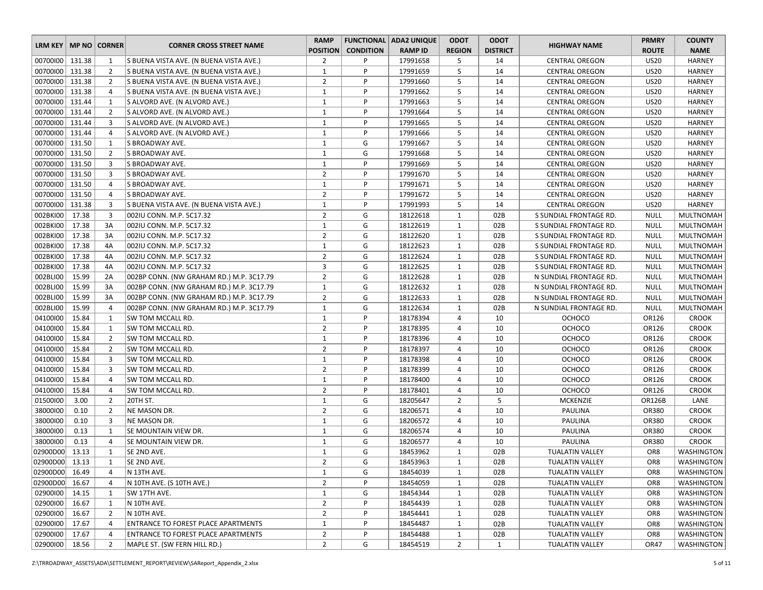| LRM KEY   MP NO   CORNER |        |                | <b>CORNER CROSS STREET NAME</b>            | <b>RAMP</b>     |                  | <b>FUNCTIONAL   ADA2 UNIQUE</b> | <b>ODOT</b>    | <b>ODOT</b>     | <b>HIGHWAY NAME</b>    | <b>PRMRY</b>    | <b>COUNTY</b>     |
|--------------------------|--------|----------------|--------------------------------------------|-----------------|------------------|---------------------------------|----------------|-----------------|------------------------|-----------------|-------------------|
|                          |        |                |                                            | <b>POSITION</b> | <b>CONDITION</b> | <b>RAMP ID</b>                  | <b>REGION</b>  | <b>DISTRICT</b> |                        | <b>ROUTE</b>    | <b>NAME</b>       |
| 00700100 131.38          |        | 1              | S BUENA VISTA AVE. (N BUENA VISTA AVE.)    | $\overline{2}$  | P                | 17991658                        | 5              | 14              | <b>CENTRAL OREGON</b>  | <b>US20</b>     | <b>HARNEY</b>     |
| 00700100 131.38          |        | $\overline{2}$ | S BUENA VISTA AVE. (N BUENA VISTA AVE.)    | $\mathbf{1}$    | P                | 17991659                        | 5              | 14              | <b>CENTRAL OREGON</b>  | <b>US20</b>     | <b>HARNEY</b>     |
| 00700100   131.38        |        | $\overline{2}$ | S BUENA VISTA AVE. (N BUENA VISTA AVE.)    | $\overline{2}$  | P                | 17991660                        | 5              | 14              | <b>CENTRAL OREGON</b>  | <b>US20</b>     | <b>HARNEY</b>     |
| 00700100 131.38          |        | $\overline{4}$ | S BUENA VISTA AVE. (N BUENA VISTA AVE.)    | $\mathbf{1}$    | P                | 17991662                        | 5              | 14              | <b>CENTRAL OREGON</b>  | <b>US20</b>     | <b>HARNEY</b>     |
| 00700100   131.44        |        | 1              | S ALVORD AVE. (N ALVORD AVE.)              | $\mathbf{1}$    | P                | 17991663                        | 5              | 14              | <b>CENTRAL OREGON</b>  | <b>US20</b>     | <b>HARNEY</b>     |
| 00700100 131.44          |        | $\overline{2}$ | S ALVORD AVE. (N ALVORD AVE.)              | $\mathbf{1}$    | P                | 17991664                        | 5              | 14              | <b>CENTRAL OREGON</b>  | <b>US20</b>     | <b>HARNEY</b>     |
| 00700100 131.44          |        | 3              | S ALVORD AVE. (N ALVORD AVE.)              | $\mathbf{1}$    | P                | 17991665                        | 5              | 14              | <b>CENTRAL OREGON</b>  | <b>US20</b>     | <b>HARNEY</b>     |
| 00700100   131.44        |        | $\overline{4}$ | S ALVORD AVE. (N ALVORD AVE.)              | $\mathbf{1}$    | P                | 17991666                        | 5              | 14              | <b>CENTRAL OREGON</b>  | <b>US20</b>     | <b>HARNEY</b>     |
| 00700100 131.50          |        | 1              | S BROADWAY AVE.                            | $\mathbf{1}$    | G                | 17991667                        | 5              | 14              | <b>CENTRAL OREGON</b>  | <b>US20</b>     | <b>HARNEY</b>     |
| 00700100 131.50          |        | $\overline{2}$ | S BROADWAY AVE.                            | $\mathbf{1}$    | G                | 17991668                        | 5              | 14              | <b>CENTRAL OREGON</b>  | <b>US20</b>     | <b>HARNEY</b>     |
| 00700100 131.50          |        | 3              | S BROADWAY AVE.                            | $\mathbf{1}$    | P                | 17991669                        | 5              | 14              | <b>CENTRAL OREGON</b>  | <b>US20</b>     | <b>HARNEY</b>     |
| 00700100 131.50          |        | 3              | S BROADWAY AVE.                            | $\overline{2}$  | P                | 17991670                        | 5              | 14              | <b>CENTRAL OREGON</b>  | <b>US20</b>     | <b>HARNEY</b>     |
| 00700100   131.50        |        | 4              | S BROADWAY AVE.                            | $\mathbf{1}$    | P                | 17991671                        | 5              | 14              | <b>CENTRAL OREGON</b>  | <b>US20</b>     | <b>HARNEY</b>     |
| 00700100 131.50          |        | $\overline{4}$ | S BROADWAY AVE.                            | $\overline{2}$  | P                | 17991672                        | 5              | 14              | <b>CENTRAL OREGON</b>  | <b>US20</b>     | <b>HARNEY</b>     |
| 00700100                 | 131.38 | $\overline{3}$ | S BUENA VISTA AVE. (N BUENA VISTA AVE.)    | $\mathbf{1}$    | P                | 17991993                        | 5              | 14              | <b>CENTRAL OREGON</b>  | <b>US20</b>     | <b>HARNEY</b>     |
| 002BKI00                 | 17.38  | 3              | 002IU CONN. M.P. 5C17.32                   | $\overline{2}$  | G                | 18122618                        | $\mathbf{1}$   | 02B             | S SUNDIAL FRONTAGE RD. | NULL            | <b>MULTNOMAH</b>  |
| 002BKI00                 | 17.38  | 3A             | 002IU CONN. M.P. 5C17.32                   | $\mathbf{1}$    | G                | 18122619                        | $\mathbf{1}$   | 02B             | S SUNDIAL FRONTAGE RD. | <b>NULL</b>     | <b>MULTNOMAH</b>  |
| 002BKI00                 | 17.38  | 3A             | 002IU CONN. M.P. 5C17.32                   | $\overline{2}$  | G                | 18122620                        | $\mathbf{1}$   | 02B             | S SUNDIAL FRONTAGE RD. | <b>NULL</b>     | <b>MULTNOMAH</b>  |
| 002BKI00                 | 17.38  | 4A             | 002IU CONN. M.P. 5C17.32                   | $\mathbf{1}$    | G                | 18122623                        | $\mathbf{1}$   | 02B             | S SUNDIAL FRONTAGE RD. | <b>NULL</b>     | MULTNOMAH         |
| 002BKI00                 | 17.38  | 4A             | 002IU CONN. M.P. 5C17.32                   | $\overline{2}$  | G                | 18122624                        | $\mathbf{1}$   | 02B             | S SUNDIAL FRONTAGE RD. | <b>NULL</b>     | <b>MULTNOMAH</b>  |
| 002BKI00                 | 17.38  | 4A             | 002IU CONN. M.P. 5C17.32                   | 3               | G                | 18122625                        | $\mathbf{1}$   | 02B             | S SUNDIAL FRONTAGE RD. | NULL            | <b>MULTNOMAH</b>  |
| 002BLI00                 | 15.99  | 2A             | 002BP CONN. (NW GRAHAM RD.) M.P. 3C17.79   | $\overline{2}$  | G                | 18122628                        | $\mathbf{1}$   | 02B             | N SUNDIAL FRONTAGE RD. | <b>NULL</b>     | <b>MULTNOMAH</b>  |
| 002BLI00                 | 15.99  | 3A             | 002BP CONN. (NW GRAHAM RD.) M.P. 3C17.79   | $\mathbf{1}$    | G                | 18122632                        | $\mathbf{1}$   | 02B             | N SUNDIAL FRONTAGE RD. | <b>NULL</b>     | <b>MULTNOMAH</b>  |
| 002BLI00                 | 15.99  | 3A             | 002BP CONN. (NW GRAHAM RD.) M.P. 3C17.79   | $\overline{2}$  | G                | 18122633                        | 1              | 02B             | N SUNDIAL FRONTAGE RD. | NULL            | <b>MULTNOMAH</b>  |
| 002BLI00                 | 15.99  | 4              | 002BP CONN. (NW GRAHAM RD.) M.P. 3C17.79   | $\mathbf{1}$    | G                | 18122634                        | $\mathbf{1}$   | 02B             | N SUNDIAL FRONTAGE RD. | <b>NULL</b>     | <b>MULTNOMAH</b>  |
| 04100100                 | 15.84  | $\mathbf{1}$   | SW TOM MCCALL RD.                          | $\mathbf{1}$    | P                | 18178394                        | 4              | 10              | <b>OCHOCO</b>          | OR126           | <b>CROOK</b>      |
| 04100100                 | 15.84  | $\mathbf{1}$   | SW TOM MCCALL RD.                          | $\overline{2}$  | P                | 18178395                        | 4              | 10              | OCHOCO                 | OR126           | <b>CROOK</b>      |
| 04100100                 | 15.84  | $\overline{2}$ | SW TOM MCCALL RD.                          | $\mathbf{1}$    | P                | 18178396                        | 4              | 10              | <b>OCHOCO</b>          | OR126           | <b>CROOK</b>      |
| 04100100                 | 15.84  | $\overline{2}$ | SW TOM MCCALL RD.                          | $\overline{2}$  | P                | 18178397                        | 4              | 10              | <b>OCHOCO</b>          | OR126           | <b>CROOK</b>      |
| 04100100                 | 15.84  | 3              | SW TOM MCCALL RD.                          | $\mathbf{1}$    | P                | 18178398                        | 4              | 10              | <b>OCHOCO</b>          | OR126           | <b>CROOK</b>      |
| 04100100                 | 15.84  | 3              | SW TOM MCCALL RD.                          | $\overline{2}$  | P                | 18178399                        | 4              | 10              | <b>OCHOCO</b>          | OR126           | <b>CROOK</b>      |
| 04100100                 | 15.84  | 4              | SW TOM MCCALL RD.                          | $\mathbf{1}$    | P                | 18178400                        | 4              | 10              | <b>OCHOCO</b>          | OR126           | <b>CROOK</b>      |
| 04100100                 | 15.84  | $\overline{4}$ | SW TOM MCCALL RD.                          | $\overline{2}$  | P                | 18178401                        | 4              | 10              | <b>OCHOCO</b>          | OR126           | <b>CROOK</b>      |
| 01500100                 | 3.00   | $\overline{2}$ | 20TH ST.                                   | $\mathbf{1}$    | G                | 18205647                        | $\overline{2}$ | 5               | <b>MCKENZIE</b>        | <b>OR126B</b>   | LANE              |
| 38000100                 | 0.10   | $\overline{2}$ | NE MASON DR.                               | $\overline{2}$  | G                | 18206571                        | 4              | 10              | PAULINA                | OR380           | <b>CROOK</b>      |
| 38000100                 | 0.10   | 3              | NE MASON DR.                               | $\mathbf{1}$    | G                | 18206572                        | 4              | 10              | PAULINA                | <b>OR380</b>    | <b>CROOK</b>      |
| 38000100                 | 0.13   | 1              | SE MOUNTAIN VIEW DR.                       | $\mathbf{1}$    | G                | 18206574                        | 4              | 10              | <b>PAULINA</b>         | OR380           | <b>CROOK</b>      |
| 38000100                 | 0.13   | $\overline{4}$ | SE MOUNTAIN VIEW DR.                       | $\mathbf{1}$    | G                | 18206577                        | 4              | 10              | PAULINA                | OR380           | <b>CROOK</b>      |
| 02900D00                 | 13.13  | 1              | SE 2ND AVE.                                | $\mathbf{1}$    | G                | 18453962                        | $\mathbf{1}$   | 02B             | <b>TUALATIN VALLEY</b> | OR8             | WASHINGTON        |
| 02900D00                 | 13.13  | $\mathbf{1}$   | SE 2ND AVE.                                | $\overline{2}$  | G                | 18453963                        | $\mathbf{1}$   | 02B             | <b>TUALATIN VALLEY</b> | OR8             | <b>WASHINGTON</b> |
| 02900D00 16.49           |        | 4              | N 13TH AVE.                                | $\mathbf{1}$    | G                | 18454039                        | $\mathbf{1}$   | 02B             | TUALATIN VALLEY        | OR8             | <b>WASHINGTON</b> |
| 02900D00                 | 16.67  | 4              | N 10TH AVE. (S 10TH AVE.)                  | $\overline{2}$  | P                | 18454059                        | $\mathbf{1}$   | 02B             | <b>TUALATIN VALLEY</b> | OR <sub>8</sub> | <b>WASHINGTON</b> |
| 02900100                 | 14.15  | $\mathbf{1}$   | SW 17TH AVE.                               | $\mathbf 1$     | G                | 18454344                        | $\mathbf{1}$   | 02B             | <b>TUALATIN VALLEY</b> | OR8             | WASHINGTON        |
| 02900100                 | 16.67  | 1              | N 10TH AVE.                                | $\overline{2}$  | P                | 18454439                        | $\mathbf{1}$   | 02B             | TUALATIN VALLEY        | OR8             | WASHINGTON        |
| 02900100                 | 16.67  | $\overline{2}$ | N 10TH AVE.                                | $\overline{2}$  | P                | 18454441                        | $\mathbf{1}$   | 02B             | <b>TUALATIN VALLEY</b> | OR8             | WASHINGTON        |
| 02900100                 | 17.67  | 4              | <b>ENTRANCE TO FOREST PLACE APARTMENTS</b> | $\mathbf{1}$    | P                | 18454487                        | $\mathbf{1}$   | 02B             | <b>TUALATIN VALLEY</b> | OR8             | <b>WASHINGTON</b> |
| 02900100                 | 17.67  | 4              | ENTRANCE TO FOREST PLACE APARTMENTS        | $\overline{2}$  | P                | 18454488                        | $\mathbf{1}$   | 02B             | TUALATIN VALLEY        | OR <sub>8</sub> | <b>WASHINGTON</b> |
| 02900100   18.56         |        | 2              | MAPLE ST. (SW FERN HILL RD.)               | $\overline{2}$  | G                | 18454519                        | $\overline{2}$ | 1               | <b>TUALATIN VALLEY</b> | <b>OR47</b>     | WASHINGTON        |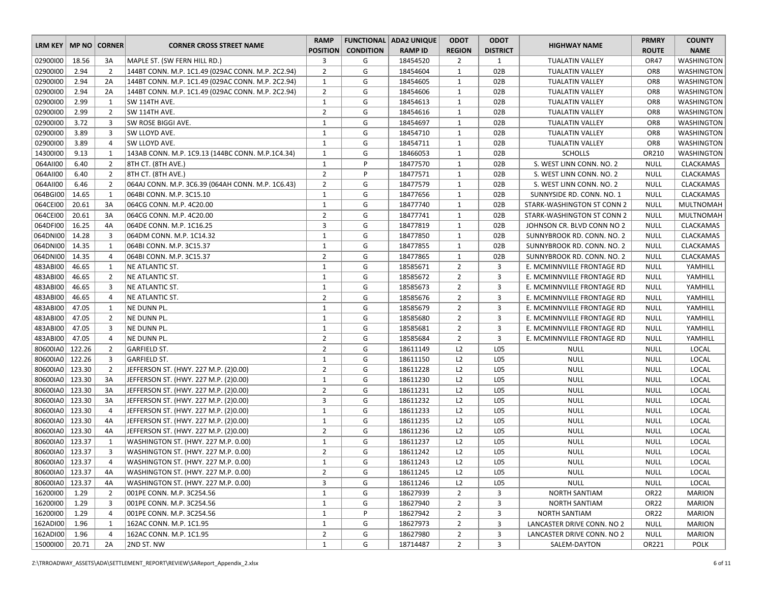|                          |        |                |                                                   | <b>RAMP</b>     |                  | <b>FUNCTIONAL ADA2 UNIQUE</b> | <b>ODOT</b>    | <b>ODOT</b>     |                            | <b>PRMRY</b>     | <b>COUNTY</b>     |
|--------------------------|--------|----------------|---------------------------------------------------|-----------------|------------------|-------------------------------|----------------|-----------------|----------------------------|------------------|-------------------|
| LRM KEY   MP NO   CORNER |        |                | <b>CORNER CROSS STREET NAME</b>                   | <b>POSITION</b> | <b>CONDITION</b> | <b>RAMP ID</b>                | <b>REGION</b>  | <b>DISTRICT</b> | <b>HIGHWAY NAME</b>        | <b>ROUTE</b>     | <b>NAME</b>       |
| 02900100                 | 18.56  | 3A             | MAPLE ST. (SW FERN HILL RD.)                      | 3               | G                | 18454520                      | $\overline{2}$ | 1               | <b>TUALATIN VALLEY</b>     | OR47             | WASHINGTON        |
| 02900100                 | 2.94   | $\overline{2}$ | 144BT CONN. M.P. 1C1.49 (029AC CONN. M.P. 2C2.94) | $\overline{2}$  | G                | 18454604                      | $\mathbf{1}$   | 02B             | <b>TUALATIN VALLEY</b>     | OR8              | WASHINGTON        |
| 02900100                 | 2.94   | 2A             | 144BT CONN. M.P. 1C1.49 (029AC CONN. M.P. 2C2.94) | 1               | G                | 18454605                      | $\mathbf{1}$   | 02B             | <b>TUALATIN VALLEY</b>     | OR8              | WASHINGTON        |
| 02900100                 | 2.94   | 2A             | 144BT CONN. M.P. 1C1.49 (029AC CONN. M.P. 2C2.94) | $\overline{2}$  | G                | 18454606                      | $\mathbf{1}$   | 02B             | TUALATIN VALLEY            | OR8              | WASHINGTON        |
| 02900100                 | 2.99   | $\mathbf{1}$   | SW 114TH AVE.                                     | $1\,$           | G                | 18454613                      | $\mathbf{1}$   | 02B             | <b>TUALATIN VALLEY</b>     | OR8              | WASHINGTON        |
| 02900100                 | 2.99   | $\overline{2}$ | SW 114TH AVE.                                     | $\overline{2}$  | G                | 18454616                      | 1              | 02B             | TUALATIN VALLEY            | OR8              | WASHINGTON        |
| 02900100                 | 3.72   | 3              | SW ROSE BIGGI AVE.                                | $\mathbf{1}$    | G                | 18454697                      | $\mathbf{1}$   | 02B             | <b>TUALATIN VALLEY</b>     | OR8              | WASHINGTON        |
| 02900100                 | 3.89   | 3              | SW LLOYD AVE.                                     | $\mathbf{1}$    | G                | 18454710                      | $\mathbf{1}$   | 02B             | <b>TUALATIN VALLEY</b>     | OR8              | WASHINGTON        |
| 02900100                 | 3.89   | $\overline{4}$ | SW LLOYD AVE.                                     | $1\,$           | G                | 18454711                      | $\mathbf{1}$   | 02B             | <b>TUALATIN VALLEY</b>     | OR8              | <b>WASHINGTON</b> |
| 14300100                 | 9.13   | $\mathbf{1}$   | 143AB CONN. M.P. 1C9.13 (144BC CONN. M.P.1C4.34)  | $\mathbf{1}$    | G                | 18466053                      | $\mathbf{1}$   | 02B             | <b>SCHOLLS</b>             | OR210            | <b>WASHINGTON</b> |
| 064AII00                 | 6.40   | $\overline{2}$ | 8TH CT. (8TH AVE.)                                | $\mathbf{1}$    | P                | 18477570                      | $\mathbf{1}$   | 02B             | S. WEST LINN CONN. NO. 2   | NULL             | <b>CLACKAMAS</b>  |
| 064AII00                 | 6.40   | $\overline{2}$ | 8TH CT. (8TH AVE.)                                | $\overline{2}$  | P                | 18477571                      | $\mathbf{1}$   | 02B             | S. WEST LINN CONN. NO. 2   | <b>NULL</b>      | CLACKAMAS         |
| 064AII00                 | 6.46   | $\overline{2}$ | 064AJ CONN. M.P. 3C6.39 (064AH CONN. M.P. 1C6.43) | $\overline{2}$  | G                | 18477579                      | $\mathbf{1}$   | 02B             | S. WEST LINN CONN. NO. 2   | NULL             | <b>CLACKAMAS</b>  |
| 064BGI00                 | 14.65  | $\mathbf{1}$   | 064BI CONN. M.P. 3C15.10                          | $\mathbf{1}$    | G                | 18477656                      | $\mathbf{1}$   | 02B             | SUNNYSIDE RD. CONN. NO. 1  | NULL             | <b>CLACKAMAS</b>  |
| 064CEI00                 | 20.61  | 3A             | 064CG CONN. M.P. 4C20.00                          | $\mathbf{1}$    | G                | 18477740                      | $\mathbf{1}$   | 02B             | STARK-WASHINGTON ST CONN 2 | NULL             | <b>MULTNOMAH</b>  |
| 064CEI00                 | 20.61  | 3A             | 064CG CONN. M.P. 4C20.00                          | $\overline{2}$  | G                | 18477741                      | $\mathbf{1}$   | 02B             | STARK-WASHINGTON ST CONN 2 | NULL             | <b>MULTNOMAH</b>  |
| 064DFI00                 | 16.25  | 4A             | 064DE CONN. M.P. 1C16.25                          | 3               | G                | 18477819                      | $\mathbf{1}$   | 02B             | JOHNSON CR. BLVD CONN NO 2 | <b>NULL</b>      | CLACKAMAS         |
| 064DNI00                 | 14.28  | $\overline{3}$ | 064DM CONN. M.P. 1C14.32                          | $1\,$           | G                | 18477850                      | $\mathbf{1}$   | 02B             | SUNNYBROOK RD. CONN. NO. 2 | <b>NULL</b>      | CLACKAMAS         |
| 064DNI00                 | 14.35  | 1              | 064BI CONN. M.P. 3C15.37                          | $\mathbf{1}$    | G                | 18477855                      | 1              | 02B             | SUNNYBROOK RD. CONN. NO. 2 | NULL             | CLACKAMAS         |
| 064DNI00                 | 14.35  | $\overline{4}$ | 064BI CONN. M.P. 3C15.37                          | $\overline{2}$  | G                | 18477865                      | $\mathbf{1}$   | 02B             | SUNNYBROOK RD. CONN. NO. 2 | <b>NULL</b>      | <b>CLACKAMAS</b>  |
| 483ABI00                 | 46.65  | $\mathbf{1}$   | NE ATLANTIC ST.                                   | $\mathbf{1}$    | G                | 18585671                      | $\overline{2}$ | 3               | E. MCMINNVILLE FRONTAGE RD | NULL             | YAMHILL           |
| 483ABI00                 | 46.65  | $\overline{2}$ | NE ATLANTIC ST.                                   | $\mathbf{1}$    | G                | 18585672                      | $\overline{2}$ | 3               | E. MCMINNVILLE FRONTAGE RD | <b>NULL</b>      | YAMHILL           |
| 483ABI00                 | 46.65  | 3              | NE ATLANTIC ST.                                   | $\mathbf{1}$    | G                | 18585673                      | $\overline{2}$ | 3               | E. MCMINNVILLE FRONTAGE RD | <b>NULL</b>      | YAMHILL           |
| 483ABI00                 | 46.65  | 4              | NE ATLANTIC ST.                                   | $\overline{2}$  | G                | 18585676                      | $\overline{2}$ | 3               | E. MCMINNVILLE FRONTAGE RD | NULL             | YAMHILL           |
| 483ABI00                 | 47.05  | 1              | NE DUNN PL.                                       | $1\,$           | G                | 18585679                      | $\overline{2}$ | 3               | E. MCMINNVILLE FRONTAGE RD | <b>NULL</b>      | YAMHILL           |
| 483ABI00                 | 47.05  | $\overline{2}$ | NE DUNN PL.                                       | $\mathbf{1}$    | G                | 18585680                      | $\overline{2}$ | 3               | E. MCMINNVILLE FRONTAGE RD | <b>NULL</b>      | YAMHILL           |
| 483ABI00                 | 47.05  | $\overline{3}$ | NE DUNN PL.                                       | $1\,$           | G                | 18585681                      | $\overline{2}$ | 3               | E. MCMINNVILLE FRONTAGE RD | <b>NULL</b>      | YAMHILL           |
| 483ABI00                 | 47.05  | $\overline{4}$ | NE DUNN PL.                                       | $\overline{2}$  | G                | 18585684                      | $\overline{2}$ | 3               | E. MCMINNVILLE FRONTAGE RD | <b>NULL</b>      | YAMHILL           |
| 80600IA0                 | 122.26 | $\overline{2}$ | <b>GARFIELD ST.</b>                               | $\overline{2}$  | G                | 18611149                      | L2             | L05             | <b>NULL</b>                | <b>NULL</b>      | LOCAL             |
| 80600IA0                 | 122.26 | 3              | <b>GARFIELD ST.</b>                               | $\mathbf{1}$    | G                | 18611150                      | L2             | L05             | <b>NULL</b>                | <b>NULL</b>      | LOCAL             |
| 80600IA0                 | 123.30 | $\overline{2}$ | JEFFERSON ST. (HWY. 227 M.P. (2)0.00)             | $\overline{2}$  | G                | 18611228                      | L2             | L05             | <b>NULL</b>                | <b>NULL</b>      | LOCAL             |
| 80600IA0 123.30          |        | 3A             | JEFFERSON ST. (HWY. 227 M.P. (2)0.00)             | $1\,$           | G                | 18611230                      | L2             | L05             | <b>NULL</b>                | <b>NULL</b>      | LOCAL             |
| 80600IA0 123.30          |        | 3A             | JEFFERSON ST. (HWY. 227 M.P. (2)0.00)             | $\overline{2}$  | G                | 18611231                      | L2             | L05             | <b>NULL</b>                | <b>NULL</b>      | LOCAL             |
| 80600IA0                 | 123.30 | 3A             | JEFFERSON ST. (HWY. 227 M.P. (2)0.00)             | 3               | G                | 18611232                      | L2             | L05             | <b>NULL</b>                | <b>NULL</b>      | LOCAL             |
| 80600IA0 123.30          |        | $\overline{4}$ | JEFFERSON ST. (HWY. 227 M.P. (2)0.00)             | 1               | G                | 18611233                      | L2             | L05             | <b>NULL</b>                | NULL             | LOCAL             |
| 80600IA0 123.30          |        | 4A             | JEFFERSON ST. (HWY. 227 M.P. (2)0.00)             | $1\,$           | G                | 18611235                      | L2             | L05             | <b>NULL</b>                | <b>NULL</b>      | LOCAL             |
| 80600IA0 123.30          |        | 4A             | JEFFERSON ST. (HWY. 227 M.P. (2)0.00)             | $\overline{2}$  | G                | 18611236                      | L2             | L05             | <b>NULL</b>                | <b>NULL</b>      | LOCAL             |
| 80600IA0 123.37          |        | 1              | WASHINGTON ST. (HWY. 227 M.P. 0.00)               | $\mathbf{1}$    | G                | 18611237                      | L2             | L05             | <b>NULL</b>                | <b>NULL</b>      | LOCAL             |
| 80600IA0 123.37          |        | 3              | WASHINGTON ST. (HWY. 227 M.P. 0.00)               | $\overline{2}$  | G                | 18611242                      | L2             | L05             | <b>NULL</b>                | <b>NULL</b>      | LOCAL             |
| 80600IA0 123.37          |        | $\overline{4}$ | WASHINGTON ST. (HWY. 227 M.P. 0.00)               | $\mathbf{1}$    | G                | 18611243                      | L2             | L05             | <b>NULL</b>                | <b>NULL</b>      | LOCAL             |
| 80600IA0 123.37          |        | 4A             | WASHINGTON ST. (HWY. 227 M.P. 0.00)               | $\overline{2}$  | G                | 18611245                      | L <sub>2</sub> | LO5             | <b>NULL</b>                | <b>NULL</b>      | LOCAL             |
| 80600IA0 123.37          |        | 4A             | WASHINGTON ST. (HWY. 227 M.P. 0.00)               | 3               | G                | 18611246                      | L2             | L05             | <b>NULL</b>                | NULL             | LOCAL             |
| 16200100                 | 1.29   | $\overline{2}$ | 001PE CONN. M.P. 3C254.56                         | $\mathbf{1}$    | G                | 18627939                      | $\overline{2}$ | 3               | <b>NORTH SANTIAM</b>       | OR <sub>22</sub> | <b>MARION</b>     |
| 16200100                 | 1.29   | 3              | 001PE CONN. M.P. 3C254.56                         | $\mathbf{1}$    | G                | 18627940                      | $\overline{2}$ | 3               | NORTH SANTIAM              | OR <sub>22</sub> | <b>MARION</b>     |
| 16200100                 | 1.29   | 4              | 001PE CONN. M.P. 3C254.56                         | $\mathbf{1}$    | P                | 18627942                      | $\overline{2}$ | 3               | NORTH SANTIAM              | OR <sub>22</sub> | MARION            |
| 162ADI00                 | 1.96   | 1              | 162AC CONN. M.P. 1C1.95                           | $\mathbf{1}$    | G                | 18627973                      | $\overline{2}$ | 3               | LANCASTER DRIVE CONN. NO 2 | <b>NULL</b>      | <b>MARION</b>     |
| 162ADI00                 | 1.96   | $\overline{4}$ | 162AC CONN. M.P. 1C1.95                           | $\overline{2}$  | G                | 18627980                      | $\overline{2}$ | 3               | LANCASTER DRIVE CONN. NO 2 | <b>NULL</b>      | <b>MARION</b>     |
| 15000100                 | 20.71  | 2A             | 2ND ST. NW                                        | $\mathbf{1}$    | G                | 18714487                      | $2^{\circ}$    | 3               | SALEM-DAYTON               | OR221            | <b>POLK</b>       |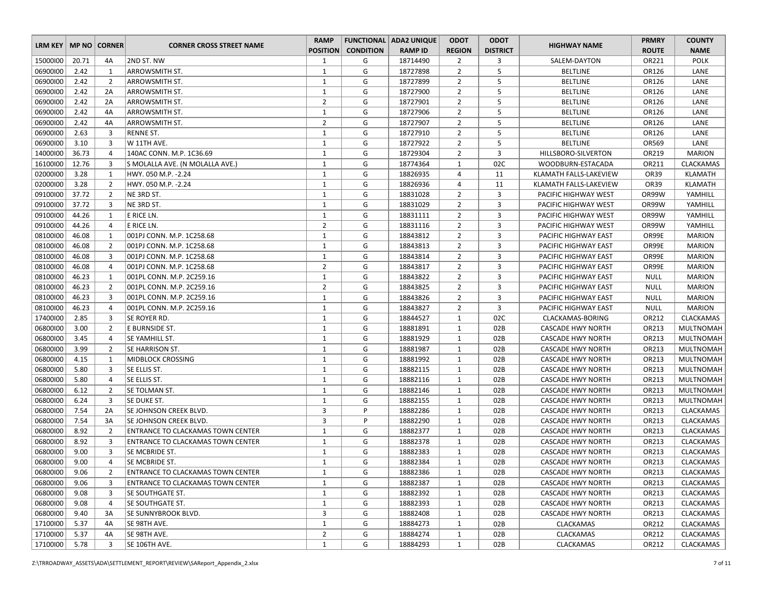| LRM KEY   MP NO   CORNER |       |                | <b>CORNER CROSS STREET NAME</b>          | <b>RAMP</b>     |                  | <b>FUNCTIONAL   ADA2 UNIQUE</b> | <b>ODOT</b>    | <b>ODOT</b>     | <b>HIGHWAY NAME</b>      | <b>PRMRY</b> | <b>COUNTY</b>    |
|--------------------------|-------|----------------|------------------------------------------|-----------------|------------------|---------------------------------|----------------|-----------------|--------------------------|--------------|------------------|
|                          |       |                |                                          | <b>POSITION</b> | <b>CONDITION</b> | <b>RAMP ID</b>                  | <b>REGION</b>  | <b>DISTRICT</b> |                          | <b>ROUTE</b> | <b>NAME</b>      |
| 15000100                 | 20.71 | 4A             | 2ND ST. NW                               | 1               | G                | 18714490                        | $\overline{2}$ | 3               | SALEM-DAYTON             | OR221        | <b>POLK</b>      |
| 06900100                 | 2.42  | 1              | ARROWSMITH ST.                           | $\mathbf{1}$    | G                | 18727898                        | $\overline{2}$ | 5               | <b>BELTLINE</b>          | OR126        | LANE             |
| 06900100                 | 2.42  | $\overline{2}$ | ARROWSMITH ST.                           | $\mathbf{1}$    | G                | 18727899                        | $\overline{2}$ | 5               | <b>BELTLINE</b>          | OR126        | LANE             |
| 06900100                 | 2.42  | 2A             | ARROWSMITH ST.                           | $\mathbf{1}$    | G                | 18727900                        | $\overline{2}$ | 5               | <b>BELTLINE</b>          | OR126        | LANE             |
| 06900100                 | 2.42  | 2A             | ARROWSMITH ST.                           | $\overline{2}$  | G                | 18727901                        | $\overline{2}$ | 5               | <b>BELTLINE</b>          | OR126        | LANE             |
| 06900100                 | 2.42  | 4A             | ARROWSMITH ST.                           | $\mathbf{1}$    | G                | 18727906                        | $\overline{2}$ | 5               | <b>BELTLINE</b>          | OR126        | LANE             |
| 06900100                 | 2.42  | 4A             | ARROWSMITH ST.                           | $\overline{2}$  | G                | 18727907                        | $\overline{2}$ | 5               | <b>BELTLINE</b>          | OR126        | LANE             |
| 06900100                 | 2.63  | 3              | <b>RENNE ST.</b>                         | $\mathbf{1}$    | G                | 18727910                        | $\overline{2}$ | 5               | <b>BELTLINE</b>          | OR126        | LANE             |
| 06900100                 | 3.10  | 3              | W 11TH AVE.                              | $\mathbf{1}$    | G                | 18727922                        | $\overline{2}$ | 5               | <b>BELTLINE</b>          | OR569        | LANE             |
| 14000100                 | 36.73 | $\overline{4}$ | 140AC CONN. M.P. 1C36.69                 | $\mathbf{1}$    | G                | 18729304                        | $\overline{2}$ | 3               | HILLSBORO-SILVERTON      | OR219        | <b>MARION</b>    |
| 16100100                 | 12.76 | 3              | S MOLALLA AVE. (N MOLALLA AVE.)          | $\mathbf{1}$    | G                | 18774364                        | 1              | 02C             | WOODBURN-ESTACADA        | OR211        | <b>CLACKAMAS</b> |
| 02000100                 | 3.28  | 1              | HWY. 050 M.P. - 2.24                     | $\mathbf{1}$    | G                | 18826935                        | 4              | 11              | KLAMATH FALLS-LAKEVIEW   | OR39         | KLAMATH          |
| 02000100                 | 3.28  | $\overline{2}$ | HWY. 050 M.P. - 2.24                     | $\mathbf{1}$    | G                | 18826936                        | 4              | 11              | KLAMATH FALLS-LAKEVIEW   | OR39         | KLAMATH          |
| 09100100                 | 37.72 | $\overline{2}$ | NE 3RD ST.                               | $\mathbf{1}$    | G                | 18831028                        | $\overline{2}$ | 3               | PACIFIC HIGHWAY WEST     | OR99W        | YAMHILL          |
| 09100100                 | 37.72 | 3              | NE 3RD ST.                               | $\mathbf{1}$    | G                | 18831029                        | $\overline{2}$ | 3               | PACIFIC HIGHWAY WEST     | OR99W        | YAMHILL          |
| 09100100                 | 44.26 | 1              | E RICE LN.                               | $\mathbf{1}$    | G                | 18831111                        | $\overline{2}$ | 3               | PACIFIC HIGHWAY WEST     | OR99W        | YAMHILL          |
| 09100100                 | 44.26 | $\overline{4}$ | E RICE LN.                               | $\overline{2}$  | G                | 18831116                        | $\overline{2}$ | 3               | PACIFIC HIGHWAY WEST     | OR99W        | YAMHILL          |
| 08100100                 | 46.08 | 1              | 001PJ CONN. M.P. 1C258.68                | $\mathbf{1}$    | G                | 18843812                        | $\overline{2}$ | 3               | PACIFIC HIGHWAY EAST     | OR99E        | <b>MARION</b>    |
| 08100100                 | 46.08 | $\overline{2}$ | 001PJ CONN. M.P. 1C258.68                | $\mathbf{1}$    | G                | 18843813                        | $\overline{2}$ | 3               | PACIFIC HIGHWAY EAST     | OR99E        | <b>MARION</b>    |
| 08100100                 | 46.08 | 3              | 001PJ CONN. M.P. 1C258.68                | $\mathbf{1}$    | G                | 18843814                        | $\overline{2}$ | 3               | PACIFIC HIGHWAY EAST     | OR99E        | <b>MARION</b>    |
| 08100100                 | 46.08 | 4              | 001PJ CONN. M.P. 1C258.68                | $\overline{2}$  | G                | 18843817                        | $\overline{2}$ | 3               | PACIFIC HIGHWAY EAST     | OR99E        | <b>MARION</b>    |
| 08100100                 | 46.23 | 1              | 001PL CONN. M.P. 2C259.16                | $\mathbf{1}$    | G                | 18843822                        | $\overline{2}$ | 3               | PACIFIC HIGHWAY EAST     | <b>NULL</b>  | <b>MARION</b>    |
| 08100100                 | 46.23 | $\overline{2}$ | 001PL CONN. M.P. 2C259.16                | $\overline{2}$  | G                | 18843825                        | $\overline{2}$ | 3               | PACIFIC HIGHWAY EAST     | <b>NULL</b>  | <b>MARION</b>    |
| 08100100                 | 46.23 | 3              | 001PL CONN. M.P. 2C259.16                | 1               | G                | 18843826                        | $\overline{2}$ | 3               | PACIFIC HIGHWAY EAST     | NULL         | <b>MARION</b>    |
| 08100100                 | 46.23 | 4              | 001PL CONN. M.P. 2C259.16                | $\mathbf{1}$    | G                | 18843827                        | $\overline{2}$ | 3               | PACIFIC HIGHWAY EAST     | <b>NULL</b>  | <b>MARION</b>    |
| 17400100                 | 2.85  | 3              | SE ROYER RD.                             | $\mathbf{1}$    | G                | 18844527                        | $\mathbf{1}$   | 02C             | CLACKAMAS-BORING         | OR212        | <b>CLACKAMAS</b> |
| 06800100                 | 3.00  | $\overline{2}$ | E BURNSIDE ST.                           | $\mathbf{1}$    | G                | 18881891                        | $\mathbf{1}$   | 02B             | <b>CASCADE HWY NORTH</b> | OR213        | <b>MULTNOMAH</b> |
| 06800100                 | 3.45  | $\overline{4}$ | SE YAMHILL ST.                           | $\mathbf{1}$    | G                | 18881929                        | $\mathbf{1}$   | 02B             | <b>CASCADE HWY NORTH</b> | OR213        | MULTNOMAH        |
| 06800100                 | 3.99  | $\overline{2}$ | SE HARRISON ST.                          | $\mathbf{1}$    | G                | 18881987                        | 1              | 02B             | <b>CASCADE HWY NORTH</b> | OR213        | <b>MULTNOMAH</b> |
| 06800100                 | 4.15  | 1              | MIDBLOCK CROSSING                        | $\mathbf{1}$    | G                | 18881992                        | 1              | 02B             | <b>CASCADE HWY NORTH</b> | OR213        | <b>MULTNOMAH</b> |
| 06800100                 | 5.80  | 3              | SE ELLIS ST.                             | $\mathbf{1}$    | G                | 18882115                        | $\mathbf{1}$   | 02B             | <b>CASCADE HWY NORTH</b> | OR213        | <b>MULTNOMAH</b> |
| 06800100                 | 5.80  | 4              | SE ELLIS ST.                             | $\mathbf{1}$    | G                | 18882116                        | 1              | 02B             | <b>CASCADE HWY NORTH</b> | OR213        | MULTNOMAH        |
| 06800100                 | 6.12  | $\overline{2}$ | SE TOLMAN ST.                            | $\mathbf{1}$    | G                | 18882146                        | 1              | 02B             | <b>CASCADE HWY NORTH</b> | OR213        | <b>MULTNOMAH</b> |
| 06800100                 | 6.24  | 3              | SE DUKE ST.                              | $\mathbf{1}$    | G                | 18882155                        | $\mathbf{1}$   | 02B             | <b>CASCADE HWY NORTH</b> | OR213        | <b>MULTNOMAH</b> |
| 06800100                 | 7.54  | 2A             | SE JOHNSON CREEK BLVD.                   | 3               | P                | 18882286                        | $\mathbf{1}$   | 02B             | <b>CASCADE HWY NORTH</b> | OR213        | CLACKAMAS        |
| 06800100                 | 7.54  | 3A             | SE JOHNSON CREEK BLVD.                   | 3               | P                | 18882290                        | 1              | 02B             | <b>CASCADE HWY NORTH</b> | OR213        | <b>CLACKAMAS</b> |
| 06800100                 | 8.92  | $\overline{2}$ | <b>ENTRANCE TO CLACKAMAS TOWN CENTER</b> | $\mathbf{1}$    | G                | 18882377                        | 1              | 02B             | <b>CASCADE HWY NORTH</b> | OR213        | <b>CLACKAMAS</b> |
| 06800100                 | 8.92  | 3              | ENTRANCE TO CLACKAMAS TOWN CENTER        | $\mathbf{1}$    | G                | 18882378                        | $\mathbf{1}$   | 02B             | <b>CASCADE HWY NORTH</b> | OR213        | <b>CLACKAMAS</b> |
| 06800100                 | 9.00  | 3              | SE MCBRIDE ST.                           | $\mathbf{1}$    | G                | 18882383                        | $\mathbf{1}$   | 02B             | <b>CASCADE HWY NORTH</b> | OR213        | <b>CLACKAMAS</b> |
| 06800100                 | 9.00  | 4              | SE MCBRIDE ST.                           | $\mathbf{1}$    | G                | 18882384                        | $\mathbf{1}$   | 02B             | <b>CASCADE HWY NORTH</b> | OR213        | <b>CLACKAMAS</b> |
| 06800100                 | 9.06  | $\overline{2}$ | <b>ENTRANCE TO CLACKAMAS TOWN CENTER</b> | $\mathbf{1}$    | G                | 18882386                        | $\mathbf{1}$   | 02B             | <b>CASCADE HWY NORTH</b> | OR213        | <b>CLACKAMAS</b> |
| 06800100                 | 9.06  | 3              | <b>ENTRANCE TO CLACKAMAS TOWN CENTER</b> | $\mathbf{1}$    | G                | 18882387                        | $\mathbf{1}$   | 02B             | <b>CASCADE HWY NORTH</b> | OR213        | <b>CLACKAMAS</b> |
| 06800100                 | 9.08  | 3              | SE SOUTHGATE ST.                         | $\mathbf{1}$    | G                | 18882392                        | $\mathbf{1}$   | 02B             | <b>CASCADE HWY NORTH</b> | OR213        | CLACKAMAS        |
| 06800100                 | 9.08  | $\overline{4}$ | SE SOUTHGATE ST.                         | $\mathbf{1}$    | G                | 18882393                        | $\mathbf{1}$   | 02B             | <b>CASCADE HWY NORTH</b> | OR213        | CLACKAMAS        |
| 06800100                 | 9.40  | 3A             | SE SUNNYBROOK BLVD.                      | 3               | G                | 18882408                        | $\mathbf{1}$   | 02B             | <b>CASCADE HWY NORTH</b> | OR213        | CLACKAMAS        |
| 17100100                 | 5.37  | 4A             | SE 98TH AVE.                             | $\mathbf{1}$    | G                | 18884273                        | $\mathbf{1}$   | 02B             | CLACKAMAS                | OR212        | <b>CLACKAMAS</b> |
| 17100100                 | 5.37  | 4A             | SE 98TH AVE.                             | $\overline{2}$  | G                | 18884274                        | $\mathbf{1}$   | 02B             | CLACKAMAS                | OR212        | CLACKAMAS        |
| 17100100                 | 5.78  | 3              | SE 106TH AVE.                            | $\mathbf{1}$    | G                | 18884293                        | 1              | 02B             | CLACKAMAS                | OR212        | CLACKAMAS        |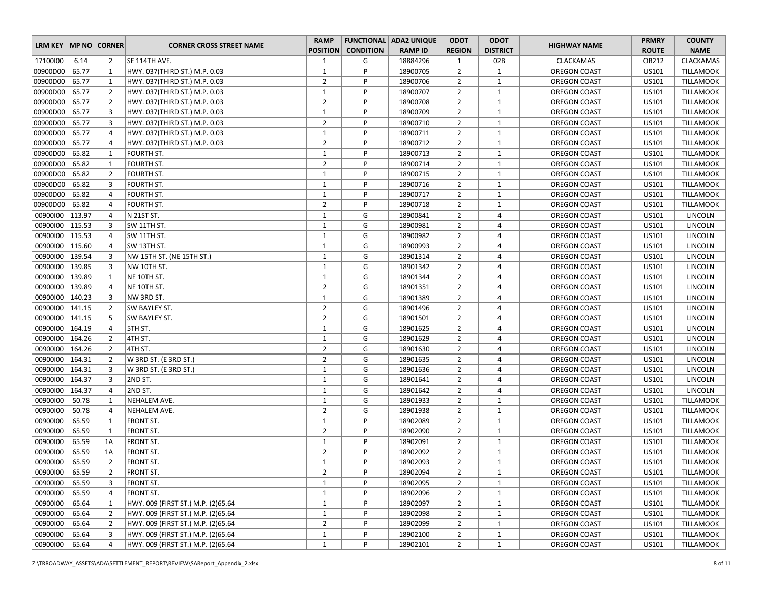| LRM KEY         |        | <b>MP NO CORNER</b> | <b>CORNER CROSS STREET NAME</b>    | <b>RAMP</b>     |                  | <b>FUNCTIONAL ADA2 UNIQUE</b> | <b>ODOT</b>    | <b>ODOT</b>     | <b>HIGHWAY NAME</b> | <b>PRMRY</b> | <b>COUNTY</b>    |
|-----------------|--------|---------------------|------------------------------------|-----------------|------------------|-------------------------------|----------------|-----------------|---------------------|--------------|------------------|
|                 |        |                     |                                    | <b>POSITION</b> | <b>CONDITION</b> | <b>RAMP ID</b>                | <b>REGION</b>  | <b>DISTRICT</b> |                     | <b>ROUTE</b> | <b>NAME</b>      |
| 17100100        | 6.14   | $\overline{2}$      | SE 114TH AVE.                      | 1               | G                | 18884296                      | 1              | 02B             | <b>CLACKAMAS</b>    | OR212        | <b>CLACKAMAS</b> |
| 00900D00        | 65.77  | 1                   | HWY. 037(THIRD ST.) M.P. 0.03      | $\mathbf{1}$    | P                | 18900705                      | $\overline{2}$ | $\mathbf{1}$    | <b>OREGON COAST</b> | US101        | <b>TILLAMOOK</b> |
| 00900D00        | 65.77  | 1                   | HWY. 037(THIRD ST.) M.P. 0.03      | $\overline{2}$  | P                | 18900706                      | $\overline{2}$ | $\mathbf{1}$    | <b>OREGON COAST</b> | US101        | <b>TILLAMOOK</b> |
| 00900D00        | 65.77  | $\overline{2}$      | HWY. 037(THIRD ST.) M.P. 0.03      | $\mathbf 1$     | P                | 18900707                      | $\overline{2}$ | $\mathbf{1}$    | <b>OREGON COAST</b> | US101        | <b>TILLAMOOK</b> |
| 00900D00        | 65.77  | $\overline{2}$      | HWY. 037(THIRD ST.) M.P. 0.03      | $\overline{2}$  | P                | 18900708                      | $\overline{2}$ | $\mathbf{1}$    | <b>OREGON COAST</b> | US101        | <b>TILLAMOOK</b> |
| 00900D00        | 65.77  | 3                   | HWY. 037(THIRD ST.) M.P. 0.03      | $\mathbf{1}$    | P                | 18900709                      | $\overline{2}$ | $\mathbf{1}$    | <b>OREGON COAST</b> | US101        | <b>TILLAMOOK</b> |
| 00900D00        | 65.77  | 3                   | HWY. 037(THIRD ST.) M.P. 0.03      | $\overline{2}$  | P                | 18900710                      | $\overline{2}$ | $\mathbf{1}$    | <b>OREGON COAST</b> | US101        | <b>TILLAMOOK</b> |
| 00900D00        | 65.77  | $\overline{4}$      | HWY. 037(THIRD ST.) M.P. 0.03      | $\mathbf{1}$    | P                | 18900711                      | $\overline{2}$ | $\mathbf{1}$    | <b>OREGON COAST</b> | US101        | <b>TILLAMOOK</b> |
| 00900D00        | 65.77  | 4                   | HWY. 037(THIRD ST.) M.P. 0.03      | $\overline{2}$  | P                | 18900712                      | $\overline{2}$ | $\mathbf{1}$    | OREGON COAST        | US101        | <b>TILLAMOOK</b> |
| 00900D00        | 65.82  | $\mathbf{1}$        | <b>FOURTH ST.</b>                  | $\mathbf{1}$    | P                | 18900713                      | $\overline{2}$ | $\mathbf{1}$    | OREGON COAST        | US101        | <b>TILLAMOOK</b> |
| 00900D00        | 65.82  | 1                   | FOURTH ST.                         | $\overline{2}$  | P                | 18900714                      | $\overline{2}$ | $\mathbf{1}$    | OREGON COAST        | US101        | <b>TILLAMOOK</b> |
| 00900D00        | 65.82  | $\overline{2}$      | FOURTH ST.                         | $\mathbf{1}$    | P                | 18900715                      | $\overline{2}$ | $\mathbf{1}$    | <b>OREGON COAST</b> | US101        | <b>TILLAMOOK</b> |
| 00900D00        | 65.82  | 3                   | FOURTH ST.                         | $\mathbf{1}$    | P                | 18900716                      | $\overline{2}$ | $\mathbf{1}$    | <b>OREGON COAST</b> | US101        | <b>TILLAMOOK</b> |
| 00900D00        | 65.82  | 4                   | <b>FOURTH ST.</b>                  | $\mathbf{1}$    | P                | 18900717                      | $\overline{2}$ | $\mathbf{1}$    | OREGON COAST        | US101        | <b>TILLAMOOK</b> |
| 00900D00        | 65.82  | 4                   | FOURTH ST.                         | $\overline{2}$  | P                | 18900718                      | $\overline{2}$ | $\mathbf{1}$    | <b>OREGON COAST</b> | US101        | <b>TILLAMOOK</b> |
| 00900100        | 113.97 | $\overline{4}$      | N 21ST ST.                         | $\mathbf{1}$    | G                | 18900841                      | $\overline{2}$ | $\overline{4}$  | <b>OREGON COAST</b> | US101        | LINCOLN          |
| 00900100        | 115.53 | 3                   | SW 11TH ST.                        | $\mathbf{1}$    | G                | 18900981                      | $\overline{2}$ | 4               | <b>OREGON COAST</b> | US101        | LINCOLN          |
| 00900100 115.53 |        | 4                   | SW 11TH ST.                        | $1\,$           | G                | 18900982                      | $\overline{2}$ | 4               | OREGON COAST        | US101        | LINCOLN          |
| 00900100        | 115.60 | 4                   | SW 13TH ST.                        | $\mathbf{1}$    | G                | 18900993                      | $\overline{2}$ | $\overline{4}$  | <b>OREGON COAST</b> | US101        | LINCOLN          |
| 00900100        | 139.54 | 3                   | NW 15TH ST. (NE 15TH ST.)          | $\mathbf{1}$    | G                | 18901314                      | $\overline{2}$ | 4               | OREGON COAST        | US101        | LINCOLN          |
| 00900100        | 139.85 | 3                   | NW 10TH ST.                        | $\mathbf{1}$    | G                | 18901342                      | $\overline{2}$ | $\overline{4}$  | <b>OREGON COAST</b> | US101        | LINCOLN          |
| 00900100        | 139.89 | 1                   | NE 10TH ST.                        | $\mathbf{1}$    | G                | 18901344                      | $\overline{2}$ | $\overline{4}$  | OREGON COAST        | US101        | LINCOLN          |
| 00900100        | 139.89 | 4                   | NE 10TH ST.                        | $\overline{2}$  | G                | 18901351                      | $\overline{2}$ | $\overline{4}$  | <b>OREGON COAST</b> | US101        | LINCOLN          |
| 00900100        | 140.23 | $\overline{3}$      | NW 3RD ST.                         | $\mathbf{1}$    | G                | 18901389                      | $\overline{2}$ | 4               | <b>OREGON COAST</b> | US101        | LINCOLN          |
| 00900100        | 141.15 | $\overline{2}$      | SW BAYLEY ST.                      | $\overline{2}$  | G                | 18901496                      | $\overline{2}$ | 4               | OREGON COAST        | US101        | LINCOLN          |
| 00900100        | 141.15 | 5                   | SW BAYLEY ST.                      | $\overline{2}$  | G                | 18901501                      | $\overline{2}$ | 4               | OREGON COAST        | US101        | LINCOLN          |
| 00900100        | 164.19 | $\overline{4}$      | 5TH ST.                            | $\mathbf{1}$    | G                | 18901625                      | $\overline{2}$ | 4               | <b>OREGON COAST</b> | US101        | LINCOLN          |
| 00900100        | 164.26 | $\overline{2}$      | 4TH ST.                            | $\mathbf{1}$    | G                | 18901629                      | $\overline{2}$ | $\overline{4}$  | <b>OREGON COAST</b> | US101        | LINCOLN          |
| 00900100        | 164.26 | $\overline{2}$      | 4TH ST.                            | $\overline{2}$  | G                | 18901630                      | $\overline{2}$ | $\overline{4}$  | <b>OREGON COAST</b> | US101        | LINCOLN          |
| 00900100        | 164.31 | $\overline{2}$      | W 3RD ST. (E 3RD ST.)              | $\overline{2}$  | G                | 18901635                      | $\overline{2}$ | 4               | <b>OREGON COAST</b> | US101        | LINCOLN          |
| 00900100        | 164.31 | 3                   | W 3RD ST. (E 3RD ST.)              | $\mathbf{1}$    | G                | 18901636                      | $\overline{2}$ | $\overline{4}$  | OREGON COAST        | US101        | LINCOLN          |
| 00900100        | 164.37 | 3                   | 2ND ST.                            | $\mathbf{1}$    | G                | 18901641                      | $\overline{2}$ | $\overline{4}$  | <b>OREGON COAST</b> | US101        | LINCOLN          |
| 00900100        | 164.37 | 4                   | 2ND ST.                            | $\mathbf{1}$    | G                | 18901642                      | $\overline{2}$ | 4               | OREGON COAST        | US101        | LINCOLN          |
| 00900100        | 50.78  | 1                   | NEHALEM AVE.                       | $\mathbf{1}$    | G                | 18901933                      | $\overline{2}$ | $\mathbf{1}$    | OREGON COAST        | US101        | <b>TILLAMOOK</b> |
| 00900100        | 50.78  | $\overline{4}$      | NEHALEM AVE.                       | $\overline{2}$  | G                | 18901938                      | $\overline{2}$ | $\mathbf{1}$    | <b>OREGON COAST</b> | US101        | <b>TILLAMOOK</b> |
| 00900100        | 65.59  | $\mathbf{1}$        | <b>FRONT ST.</b>                   | $\mathbf{1}$    | P                | 18902089                      | $\overline{2}$ | $\mathbf{1}$    | OREGON COAST        | US101        | <b>TILLAMOOK</b> |
| 00900100        | 65.59  | $\mathbf{1}$        | <b>FRONT ST.</b>                   | $\overline{2}$  | P                | 18902090                      | $\overline{2}$ | $\mathbf{1}$    | <b>OREGON COAST</b> | US101        | <b>TILLAMOOK</b> |
| 00900100        | 65.59  | 1A                  | <b>FRONT ST.</b>                   | $\mathbf{1}$    | P                | 18902091                      | $\overline{2}$ | $\mathbf{1}$    | <b>OREGON COAST</b> | US101        | <b>TILLAMOOK</b> |
| 00900100        | 65.59  | 1A                  | <b>FRONT ST.</b>                   | $\overline{2}$  | P                | 18902092                      | $\overline{2}$ | $\mathbf{1}$    | OREGON COAST        | US101        | TILLAMOOK        |
| 00900100        | 65.59  | $\overline{2}$      | <b>FRONT ST.</b>                   | $\mathbf{1}$    | P                | 18902093                      | $\overline{2}$ | $\mathbf{1}$    | <b>OREGON COAST</b> | US101        | TILLAMOOK        |
| 00900100        | 65.59  | $\overline{2}$      | <b>FRONT ST.</b>                   | $\overline{2}$  | P                | 18902094                      | $\overline{2}$ | $\mathbf{1}$    | <b>OREGON COAST</b> | US101        | TILLAMOOK        |
| 00900100        | 65.59  | 3                   | <b>FRONT ST.</b>                   | $\mathbf{1}$    | P                | 18902095                      | $\overline{2}$ | $\mathbf{1}$    | OREGON COAST        | US101        | TILLAMOOK        |
| 00900100        | 65.59  | 4                   | <b>FRONT ST.</b>                   | $\mathbf{1}$    | P                | 18902096                      | $\overline{2}$ | $\mathbf{1}$    | OREGON COAST        | US101        | <b>TILLAMOOK</b> |
| 00900100        | 65.64  | $\mathbf{1}$        | HWY. 009 (FIRST ST.) M.P. (2)65.64 | $\mathbf{1}$    | P                | 18902097                      | $\overline{2}$ | $\mathbf{1}$    | OREGON COAST        | US101        | TILLAMOOK        |
| 00900100        | 65.64  | $\overline{2}$      | HWY. 009 (FIRST ST.) M.P. (2)65.64 | $\mathbf{1}$    | P                | 18902098                      | $\overline{2}$ | $\mathbf{1}$    | OREGON COAST        | US101        | <b>TILLAMOOK</b> |
| 00900100        | 65.64  | $\overline{2}$      | HWY. 009 (FIRST ST.) M.P. (2)65.64 | $\overline{2}$  | P                | 18902099                      | $\overline{2}$ | $\mathbf{1}$    | OREGON COAST        | US101        | TILLAMOOK        |
| 00900100        | 65.64  | 3                   | HWY. 009 (FIRST ST.) M.P. (2)65.64 | $\mathbf{1}$    | P                | 18902100                      | $\overline{2}$ | $\mathbf{1}$    | OREGON COAST        | US101        | TILLAMOOK        |
| 00900100        | 65.64  | 4                   | HWY. 009 (FIRST ST.) M.P. (2)65.64 | $\mathbf{1}$    | P                | 18902101                      | $\overline{2}$ | $\mathbf{1}$    | OREGON COAST        | US101        | TILLAMOOK        |
|                 |        |                     |                                    |                 |                  |                               |                |                 |                     |              |                  |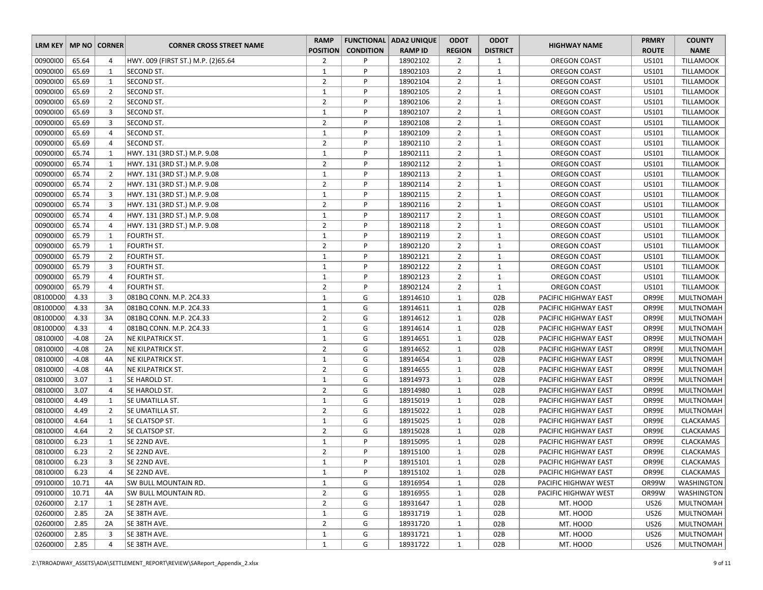| LRM KEY   MP NO   CORNER |         |                | <b>CORNER CROSS STREET NAME</b>      | <b>RAMP</b>                    |                  | <b>FUNCTIONAL ADA2 UNIQUE</b> | <b>ODOT</b>       | <b>ODOT</b>     | <b>HIGHWAY NAME</b>                          | <b>PRMRY</b> | <b>COUNTY</b>          |
|--------------------------|---------|----------------|--------------------------------------|--------------------------------|------------------|-------------------------------|-------------------|-----------------|----------------------------------------------|--------------|------------------------|
|                          |         |                |                                      | <b>POSITION</b>                | <b>CONDITION</b> | <b>RAMP ID</b>                | <b>REGION</b>     | <b>DISTRICT</b> |                                              | <b>ROUTE</b> | <b>NAME</b>            |
| 00900100                 | 65.64   | 4              | HWY. 009 (FIRST ST.) M.P. (2)65.64   | $\overline{2}$                 | P                | 18902102                      | $\overline{2}$    | 1               | <b>OREGON COAST</b>                          | US101        | <b>TILLAMOOK</b>       |
| 00900100                 | 65.69   | $\mathbf{1}$   | <b>SECOND ST.</b>                    | $\mathbf{1}$                   | P                | 18902103                      | $\overline{2}$    | $\mathbf{1}$    | OREGON COAST                                 | US101        | <b>TILLAMOOK</b>       |
| 00900100                 | 65.69   | $\mathbf{1}$   | SECOND ST.                           | $\overline{2}$                 | P                | 18902104                      | $\overline{2}$    | $\mathbf{1}$    | OREGON COAST                                 | US101        | <b>TILLAMOOK</b>       |
| 00900100                 | 65.69   | $\overline{2}$ | SECOND ST.                           | $\mathbf{1}$                   | P                | 18902105                      | $\overline{2}$    | $\mathbf{1}$    | OREGON COAST                                 | US101        | <b>TILLAMOOK</b>       |
| 00900100                 | 65.69   | $\overline{2}$ | SECOND ST.                           | $\overline{2}$                 | P                | 18902106                      | $\overline{2}$    | $\mathbf{1}$    | OREGON COAST                                 | US101        | <b>TILLAMOOK</b>       |
| 00900100                 | 65.69   | 3              | SECOND ST.                           | $\mathbf{1}$                   | P                | 18902107                      | $\overline{2}$    | $\mathbf{1}$    | OREGON COAST                                 | US101        | <b>TILLAMOOK</b>       |
| 00900100                 | 65.69   | 3              | SECOND ST.                           | $\overline{2}$                 | P                | 18902108                      | $\overline{2}$    | $\mathbf{1}$    | <b>OREGON COAST</b>                          | US101        | <b>TILLAMOOK</b>       |
| 00900100                 | 65.69   | $\overline{4}$ | SECOND ST.                           | $\mathbf{1}$                   | P                | 18902109                      | $\overline{2}$    | $\mathbf{1}$    | OREGON COAST                                 | US101        | <b>TILLAMOOK</b>       |
| 00900100                 | 65.69   | 4              | SECOND ST.                           | $\overline{2}$                 | P                | 18902110                      | $\overline{2}$    | $\mathbf{1}$    | OREGON COAST                                 | US101        | <b>TILLAMOOK</b>       |
| 00900100                 | 65.74   | 1              | HWY. 131 (3RD ST.) M.P. 9.08         | $\mathbf{1}$                   | P                | 18902111                      | $\overline{2}$    | $\mathbf{1}$    | OREGON COAST                                 | US101        | <b>TILLAMOOK</b>       |
| 00900100                 | 65.74   | $\mathbf{1}$   | HWY. 131 (3RD ST.) M.P. 9.08         | $\overline{2}$                 | P                | 18902112                      | $\overline{2}$    | $\mathbf{1}$    | OREGON COAST                                 | US101        | <b>TILLAMOOK</b>       |
| 00900100                 | 65.74   | $\overline{2}$ | HWY. 131 (3RD ST.) M.P. 9.08         | $\mathbf{1}$                   | P                | 18902113                      | $\overline{2}$    | $\mathbf{1}$    | OREGON COAST                                 | US101        | <b>TILLAMOOK</b>       |
| 00900100                 | 65.74   | $\overline{2}$ | HWY. 131 (3RD ST.) M.P. 9.08         | $\overline{2}$                 | P                | 18902114                      | $\overline{2}$    | $\mathbf{1}$    | OREGON COAST                                 | US101        | <b>TILLAMOOK</b>       |
| 00900100                 | 65.74   | 3              | HWY. 131 (3RD ST.) M.P. 9.08         | $\mathbf{1}$                   | P                | 18902115                      | $\overline{2}$    | $\mathbf{1}$    | OREGON COAST                                 | US101        | <b>TILLAMOOK</b>       |
| 00900100                 | 65.74   | 3              | HWY. 131 (3RD ST.) M.P. 9.08         | $\overline{2}$                 | P                | 18902116                      | $\overline{2}$    | $\mathbf{1}$    | OREGON COAST                                 | US101        | <b>TILLAMOOK</b>       |
| 00900100                 | 65.74   | $\overline{4}$ | HWY. 131 (3RD ST.) M.P. 9.08         | $\mathbf{1}$                   | P                | 18902117                      | $\overline{2}$    | $\mathbf{1}$    | OREGON COAST                                 | US101        | <b>TILLAMOOK</b>       |
| 00900100                 | 65.74   | $\overline{4}$ | HWY. 131 (3RD ST.) M.P. 9.08         | $\overline{2}$                 | P                | 18902118                      | $\overline{2}$    | $\mathbf{1}$    | OREGON COAST                                 | US101        | <b>TILLAMOOK</b>       |
| 00900100                 | 65.79   | $\mathbf{1}$   | <b>FOURTH ST.</b>                    | $\mathbf{1}$                   | P                | 18902119                      | $\overline{2}$    | $\mathbf{1}$    | OREGON COAST                                 | US101        | <b>TILLAMOOK</b>       |
| 00900100                 | 65.79   | 1              | FOURTH ST.                           | $\overline{2}$                 | P                | 18902120                      | $\overline{2}$    | $\mathbf{1}$    | OREGON COAST                                 | US101        | <b>TILLAMOOK</b>       |
| 00900100                 | 65.79   | $\overline{2}$ | FOURTH ST.                           | $\mathbf{1}$                   | P                | 18902121                      | $\overline{2}$    | $\mathbf{1}$    | OREGON COAST                                 | US101        | <b>TILLAMOOK</b>       |
| 00900100                 | 65.79   | 3              | FOURTH ST.                           | $\mathbf{1}$                   | P                | 18902122                      | $\overline{2}$    | $\mathbf{1}$    | OREGON COAST                                 | US101        | <b>TILLAMOOK</b>       |
| 00900100                 | 65.79   | $\overline{4}$ | FOURTH ST.                           | $\mathbf{1}$                   | P                | 18902123                      | $\overline{2}$    | $\mathbf{1}$    | OREGON COAST                                 | US101        | <b>TILLAMOOK</b>       |
| 00900100                 | 65.79   | $\overline{4}$ | FOURTH ST.                           | $\overline{2}$                 | P                | 18902124                      | $\overline{2}$    | $\mathbf{1}$    | OREGON COAST                                 | US101        | <b>TILLAMOOK</b>       |
| 08100D00                 | 4.33    | 3              | 081BQ CONN. M.P. 2C4.33              | $\mathbf{1}$                   | G                | 18914610                      | 1                 | 02B             | PACIFIC HIGHWAY EAST                         | OR99E        | <b>MULTNOMAH</b>       |
| 08100D00                 | 4.33    | 3A             | 081BQ CONN. M.P. 2C4.33              | $\mathbf{1}$                   | G                | 18914611                      | $\mathbf{1}$      | 02B             | PACIFIC HIGHWAY EAST                         | OR99E        | <b>MULTNOMAH</b>       |
| 08100D00                 | 4.33    | 3A             | 081BQ CONN. M.P. 2C4.33              | $\overline{2}$                 | G                | 18914612                      | $\mathbf{1}$      | 02B             | PACIFIC HIGHWAY EAST                         | OR99E        | <b>MULTNOMAH</b>       |
| 08100D00                 | 4.33    | $\overline{4}$ | 081BQ CONN. M.P. 2C4.33              | $\mathbf{1}$                   | G                | 18914614                      | $\mathbf{1}$      | 02B             | PACIFIC HIGHWAY EAST                         | OR99E        | <b>MULTNOMAH</b>       |
| 08100100                 | $-4.08$ | 2A             | <b>NE KILPATRICK ST.</b>             | $\mathbf{1}$                   | G                | 18914651                      | $\mathbf{1}$      | 02B             | PACIFIC HIGHWAY EAST                         | OR99E        | <b>MULTNOMAH</b>       |
| 08100100                 | $-4.08$ | 2A             | <b>NE KILPATRICK ST.</b>             | $\overline{2}$                 | G                | 18914652                      | $\mathbf{1}$      | 02B             | PACIFIC HIGHWAY EAST                         | OR99E        | <b>MULTNOMAH</b>       |
| 08100100                 | $-4.08$ | 4A             | NE KILPATRICK ST.                    | $\mathbf{1}$                   | G                | 18914654                      | $\mathbf{1}$      | 02B             | PACIFIC HIGHWAY EAST                         | OR99E        | <b>MULTNOMAH</b>       |
| 08100100                 | $-4.08$ | 4A             | <b>NE KILPATRICK ST.</b>             | $\overline{2}$                 | G                | 18914655                      | $\mathbf{1}$      | 02B             | PACIFIC HIGHWAY EAST                         | OR99E        | <b>MULTNOMAH</b>       |
| 08100100                 | 3.07    | 1              | SE HAROLD ST.                        | $\mathbf{1}$                   | G                | 18914973                      | $\mathbf{1}$      | 02B             | PACIFIC HIGHWAY EAST                         | OR99E        | <b>MULTNOMAH</b>       |
| 08100100                 | 3.07    | $\overline{4}$ | SE HAROLD ST.                        | $\overline{2}$                 | G                | 18914980                      | $\mathbf{1}$      | 02B             | PACIFIC HIGHWAY EAST                         | OR99E        | <b>MULTNOMAH</b>       |
| 08100100                 | 4.49    | $\mathbf{1}$   | SE UMATILLA ST.                      | $\mathbf{1}$                   | G                | 18915019                      | $\mathbf{1}$      | 02B             | PACIFIC HIGHWAY EAST                         | OR99E        | <b>MULTNOMAH</b>       |
| 08100100                 | 4.49    | $\overline{2}$ | SE UMATILLA ST.                      | $\overline{2}$                 | G                | 18915022                      | 1                 | 02B             | PACIFIC HIGHWAY EAST                         | OR99E        | <b>MULTNOMAH</b>       |
| 08100100                 | 4.64    | $\mathbf{1}$   | <b>SE CLATSOP ST.</b>                | $\mathbf{1}$                   | G                | 18915025                      | $\mathbf{1}$      | 02B             | PACIFIC HIGHWAY EAST                         | OR99E        | CLACKAMAS              |
| 08100100                 | 4.64    | $\overline{2}$ | <b>SE CLATSOP ST.</b>                | $\overline{2}$                 | G                | 18915028                      | $\mathbf{1}$      | 02B             | PACIFIC HIGHWAY EAST                         | OR99E        | <b>CLACKAMAS</b>       |
| 08100100                 | 6.23    | $\mathbf{1}$   | SE 22ND AVE.                         | $\mathbf{1}$                   | P                | 18915095                      | $\mathbf{1}$      | 02B             | PACIFIC HIGHWAY EAST                         | OR99E        | <b>CLACKAMAS</b>       |
| 08100100                 | 6.23    | $\overline{2}$ | SE 22ND AVE.                         | $\overline{2}$                 | P                | 18915100                      | $\mathbf{1}$      | 02B             | PACIFIC HIGHWAY EAST                         | OR99E        | <b>CLACKAMAS</b>       |
| 08100100                 | 6.23    | 3              | SE 22ND AVE.                         | $\mathbf{1}$                   | P                | 18915101                      | $\mathbf{1}$      | 02B             | PACIFIC HIGHWAY EAST                         | OR99E        | <b>CLACKAMAS</b>       |
| 08100100                 | 6.23    | 4              | SE 22ND AVE.                         | $\mathbf{1}$                   | P                | 18915102                      |                   | 02B             |                                              | OR99E        | CLACKAMAS              |
| 09100100                 | 10.71   | 4A             | <b>SW BULL MOUNTAIN RD.</b>          | $\mathbf{1}$                   | G                | 18916954                      | 1<br>$\mathbf{1}$ | 02B             | PACIFIC HIGHWAY EAST<br>PACIFIC HIGHWAY WEST | OR99W        | WASHINGTON             |
| 09100100                 | 10.71   |                |                                      | $\overline{2}$                 | G                | 18916955                      |                   | 02B             | PACIFIC HIGHWAY WEST                         | OR99W        | <b>WASHINGTON</b>      |
| 02600100                 | 2.17    | 4A             | SW BULL MOUNTAIN RD.<br>SE 28TH AVE. | $\overline{2}$                 | G                | 18931647                      | $\mathbf{1}$      |                 | MT. HOOD                                     |              | MULTNOMAH              |
|                          |         | 1              |                                      |                                |                  |                               | $\mathbf{1}$      | 02B             |                                              | <b>US26</b>  |                        |
| 02600100<br>02600100     | 2.85    | 2A             | SE 38TH AVE.<br>SE 38TH AVE.         | $\mathbf{1}$<br>$\overline{2}$ | G                | 18931719                      | $\mathbf{1}$      | 02B             | MT. HOOD                                     | <b>US26</b>  | MULTNOMAH<br>MULTNOMAH |
|                          | 2.85    | 2A             |                                      |                                | G                | 18931720                      | $\mathbf{1}$      | 02B             | MT. HOOD                                     | <b>US26</b>  |                        |
| 02600100                 | 2.85    | 3              | SE 38TH AVE.                         | $\mathbf{1}$                   | G                | 18931721                      | $\mathbf{1}$      | 02B             | MT. HOOD                                     | <b>US26</b>  | MULTNOMAH              |
| 02600100                 | 2.85    | 4              | SE 38TH AVE.                         | 1                              | G                | 18931722                      | $\mathbf{1}$      | 02B             | MT. HOOD                                     | <b>US26</b>  | MULTNOMAH              |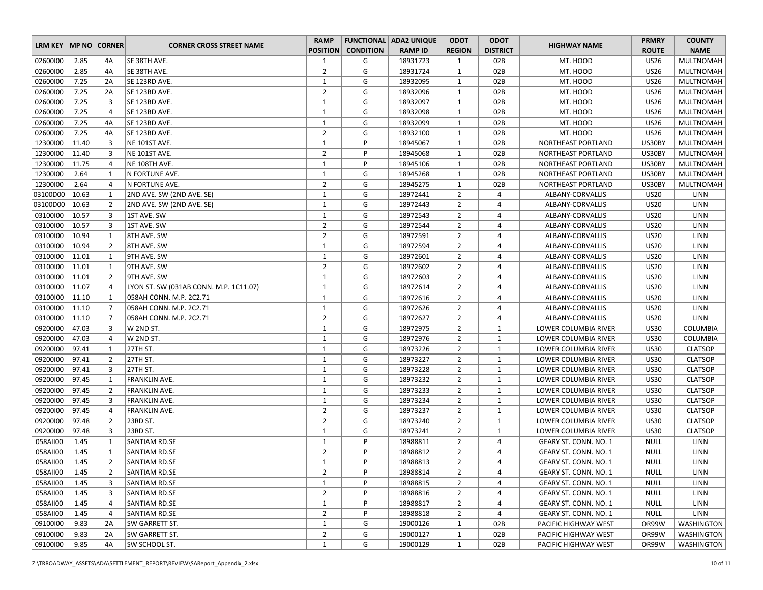|                          |       |                |                                        | <b>RAMP</b>     |                  | <b>FUNCTIONAL   ADA2 UNIQUE</b> | <b>ODOT</b>    | <b>ODOT</b>     |                              | <b>PRMRY</b> | <b>COUNTY</b>     |
|--------------------------|-------|----------------|----------------------------------------|-----------------|------------------|---------------------------------|----------------|-----------------|------------------------------|--------------|-------------------|
| LRM KEY   MP NO   CORNER |       |                | <b>CORNER CROSS STREET NAME</b>        | <b>POSITION</b> | <b>CONDITION</b> | <b>RAMP ID</b>                  | <b>REGION</b>  | <b>DISTRICT</b> | <b>HIGHWAY NAME</b>          | <b>ROUTE</b> | <b>NAME</b>       |
| 02600100                 | 2.85  | 4A             | SE 38TH AVE.                           | $\mathbf{1}$    | G                | 18931723                        | $\mathbf{1}$   | 02B             | MT. HOOD                     | <b>US26</b>  | <b>MULTNOMAH</b>  |
| 02600100                 | 2.85  | 4A             | SE 38TH AVE.                           | $\overline{2}$  | G                | 18931724                        | $\mathbf{1}$   | 02B             | MT. HOOD                     | <b>US26</b>  | MULTNOMAH         |
| 02600100                 | 7.25  | 2A             | SE 123RD AVE.                          | $\mathbf{1}$    | G                | 18932095                        | $\mathbf{1}$   | 02B             | MT. HOOD                     | <b>US26</b>  | <b>MULTNOMAH</b>  |
| 02600100                 | 7.25  | 2A             | SE 123RD AVE.                          | $\overline{2}$  | G                | 18932096                        | 1              | 02B             | MT. HOOD                     | <b>US26</b>  | <b>MULTNOMAH</b>  |
| 02600100                 | 7.25  | 3              | SE 123RD AVE.                          | $\mathbf{1}$    | G                | 18932097                        | $\mathbf{1}$   | 02B             | MT. HOOD                     | <b>US26</b>  | <b>MULTNOMAH</b>  |
| 02600100                 | 7.25  | $\overline{4}$ | SE 123RD AVE.                          | $\mathbf{1}$    | G                | 18932098                        | 1              | 02B             | MT. HOOD                     | <b>US26</b>  | <b>MULTNOMAH</b>  |
| 02600100                 | 7.25  | 4A             | SE 123RD AVE.                          | $\mathbf{1}$    | G                | 18932099                        | $\mathbf{1}$   | 02B             | MT. HOOD                     | <b>US26</b>  | <b>MULTNOMAH</b>  |
| 02600100                 | 7.25  | 4A             | SE 123RD AVE.                          | $\overline{2}$  | G                | 18932100                        | $\mathbf{1}$   | 02B             | MT. HOOD                     | <b>US26</b>  | <b>MULTNOMAH</b>  |
| 12300100                 | 11.40 | 3              | NE 101ST AVE.                          | $\mathbf{1}$    | P                | 18945067                        | $\mathbf{1}$   | 02B             | NORTHEAST PORTLAND           | US30BY       | <b>MULTNOMAH</b>  |
| 12300100                 | 11.40 | 3              | NE 101ST AVE.                          | $\overline{2}$  | P                | 18945068                        | $\mathbf{1}$   | 02B             | NORTHEAST PORTLAND           | US30BY       | <b>MULTNOMAH</b>  |
| 12300100                 | 11.75 | 4              | NE 108TH AVE.                          | 1               | P                | 18945106                        | $\mathbf{1}$   | 02B             | NORTHEAST PORTLAND           | US30BY       | <b>MULTNOMAH</b>  |
| 12300100                 | 2.64  | 1              | N FORTUNE AVE.                         | $\mathbf{1}$    | G                | 18945268                        | $\mathbf{1}$   | 02B             | NORTHEAST PORTLAND           | US30BY       | <b>MULTNOMAH</b>  |
| 12300100                 | 2.64  | $\overline{4}$ | N FORTUNE AVE.                         | $\overline{2}$  | G                | 18945275                        | 1              | 02B             | NORTHEAST PORTLAND           | US30BY       | <b>MULTNOMAH</b>  |
| 03100D00                 | 10.63 | 1              | 2ND AVE. SW (2ND AVE. SE)              | $\mathbf{1}$    | G                | 18972441                        | $\overline{2}$ | 4               | ALBANY-CORVALLIS             | <b>US20</b>  | LINN              |
| 03100D00                 | 10.63 | $\overline{2}$ | 2ND AVE. SW (2ND AVE. SE)              | $\mathbf{1}$    | G                | 18972443                        | $\overline{2}$ | 4               | ALBANY-CORVALLIS             | <b>US20</b>  | LINN              |
| 03100100                 | 10.57 | 3              | 1ST AVE. SW                            | $\mathbf{1}$    | G                | 18972543                        | $\overline{2}$ | 4               | ALBANY-CORVALLIS             | <b>US20</b>  | <b>LINN</b>       |
| 03100100                 | 10.57 | 3              | 1ST AVE. SW                            | $\overline{2}$  | G                | 18972544                        | $\overline{2}$ | 4               | ALBANY-CORVALLIS             | <b>US20</b>  | LINN              |
| 03100100                 | 10.94 | $\mathbf{1}$   | 8TH AVE. SW                            | $\overline{2}$  | G                | 18972591                        | $\overline{2}$ | 4               | ALBANY-CORVALLIS             | <b>US20</b>  | LINN              |
| 03100100                 | 10.94 | $\overline{2}$ | 8TH AVE. SW                            | $\mathbf{1}$    | G                | 18972594                        | $\overline{2}$ | $\overline{4}$  | ALBANY-CORVALLIS             | <b>US20</b>  | LINN              |
| 03100100                 | 11.01 | $\mathbf{1}$   | 9TH AVE. SW                            | $\mathbf{1}$    | G                | 18972601                        | $\overline{2}$ | 4               | ALBANY-CORVALLIS             | <b>US20</b>  | LINN              |
| 03100100                 | 11.01 | $\mathbf{1}$   | 9TH AVE. SW                            | $\overline{2}$  | G                | 18972602                        | $\overline{2}$ | 4               | ALBANY-CORVALLIS             | <b>US20</b>  | LINN              |
| 03100100                 | 11.01 | $\overline{2}$ | 9TH AVE. SW                            | $\mathbf{1}$    | G                | 18972603                        | $\overline{2}$ | 4               | ALBANY-CORVALLIS             | <b>US20</b>  | LINN              |
| 03100100                 | 11.07 | 4              | LYON ST. SW (031AB CONN. M.P. 1C11.07) | $\mathbf{1}$    | G                | 18972614                        | $\overline{2}$ | 4               | ALBANY-CORVALLIS             | <b>US20</b>  | LINN              |
| 03100100                 | 11.10 | $\mathbf{1}$   | 058AH CONN. M.P. 2C2.71                | $\mathbf{1}$    | G                | 18972616                        | $\overline{2}$ | 4               | ALBANY-CORVALLIS             | <b>US20</b>  | LINN              |
| 03100100                 | 11.10 | $\overline{7}$ | 058AH CONN. M.P. 2C2.71                | $\mathbf{1}$    | G                | 18972626                        | $\overline{2}$ | 4               | ALBANY-CORVALLIS             | <b>US20</b>  | LINN              |
| 03100100                 | 11.10 | $\overline{7}$ | 058AH CONN. M.P. 2C2.71                | $\overline{2}$  | G                | 18972627                        | $\overline{2}$ | 4               | ALBANY-CORVALLIS             | <b>US20</b>  | LINN              |
| 09200100                 | 47.03 | $\overline{3}$ | W 2ND ST.                              | $\mathbf{1}$    | G                | 18972975                        | $\overline{2}$ | 1               | LOWER COLUMBIA RIVER         | <b>US30</b>  | COLUMBIA          |
| 09200100                 | 47.03 | $\overline{4}$ | W 2ND ST.                              | $\mathbf{1}$    | G                | 18972976                        | $\overline{2}$ | $\mathbf{1}$    | LOWER COLUMBIA RIVER         | <b>US30</b>  | <b>COLUMBIA</b>   |
| 09200100                 | 97.41 | $\mathbf{1}$   | 27TH ST.                               | $\mathbf{1}$    | G                | 18973226                        | $\overline{2}$ | $\mathbf{1}$    | LOWER COLUMBIA RIVER         | <b>US30</b>  | <b>CLATSOP</b>    |
| 09200100                 | 97.41 | $\overline{2}$ | 27TH ST.                               | $\mathbf{1}$    | G                | 18973227                        | $\overline{2}$ | $\mathbf{1}$    | LOWER COLUMBIA RIVER         | <b>US30</b>  | <b>CLATSOP</b>    |
| 09200100                 | 97.41 | 3              | 27TH ST.                               | $\mathbf{1}$    | G                | 18973228                        | $\overline{2}$ | 1               | LOWER COLUMBIA RIVER         | <b>US30</b>  | <b>CLATSOP</b>    |
| 09200100                 | 97.45 | 1              | <b>FRANKLIN AVE.</b>                   | $\mathbf{1}$    | G                | 18973232                        | $\overline{2}$ | $\mathbf{1}$    | LOWER COLUMBIA RIVER         | <b>US30</b>  | <b>CLATSOP</b>    |
| 09200100                 | 97.45 | $\overline{2}$ | FRANKLIN AVE.                          | $\mathbf{1}$    | G                | 18973233                        | $\overline{2}$ | $\mathbf{1}$    | LOWER COLUMBIA RIVER         | <b>US30</b>  | <b>CLATSOP</b>    |
| 09200100                 | 97.45 | 3              | FRANKLIN AVE.                          | $\mathbf{1}$    | G                | 18973234                        | $\overline{2}$ | $\mathbf{1}$    | LOWER COLUMBIA RIVER         | <b>US30</b>  | <b>CLATSOP</b>    |
| 09200100                 | 97.45 | $\overline{4}$ | FRANKLIN AVE.                          | $\overline{2}$  | G                | 18973237                        | $\overline{2}$ | $\mathbf{1}$    | LOWER COLUMBIA RIVER         | <b>US30</b>  | <b>CLATSOP</b>    |
| 09200100                 | 97.48 | $\overline{2}$ | 23RD ST.                               | $\overline{2}$  | G                | 18973240                        | $\overline{2}$ | $\mathbf{1}$    | LOWER COLUMBIA RIVER         | <b>US30</b>  | <b>CLATSOP</b>    |
| 09200100                 | 97.48 | 3              | 23RD ST.                               | $\mathbf{1}$    | G                | 18973241                        | $\overline{2}$ | $\mathbf{1}$    | LOWER COLUMBIA RIVER         | <b>US30</b>  | <b>CLATSOP</b>    |
| 058AII00                 | 1.45  | 1              | SANTIAM RD.SE                          | $\mathbf{1}$    | P                | 18988811                        | $\overline{2}$ | 4               | GEARY ST. CONN. NO. 1        | <b>NULL</b>  | LINN              |
| 058AII00                 | 1.45  | 1              | SANTIAM RD.SE                          | $\overline{2}$  | P                | 18988812                        | $\overline{2}$ | 4               | GEARY ST. CONN. NO. 1        | <b>NULL</b>  | LINN              |
| 058AII00                 | 1.45  | $\overline{2}$ | SANTIAM RD.SE                          | $\mathbf{1}$    | P                | 18988813                        | $\overline{2}$ | 4               | <b>GEARY ST. CONN. NO. 1</b> | <b>NULL</b>  | LINN              |
| 058AII00                 | 1.45  | $\overline{2}$ | SANTIAM RD.SE                          | $\overline{2}$  | P                | 18988814                        | $\overline{2}$ | 4               | GEARY ST. CONN. NO. 1        | <b>NULL</b>  | LINN              |
| 058AII00                 | 1.45  | 3              | SANTIAM RD.SE                          | $\mathbf{1}$    | P                | 18988815                        | $\overline{2}$ | $\overline{4}$  | GEARY ST. CONN. NO. 1        | <b>NULL</b>  | LINN              |
| 058AII00                 | 1.45  | 3              | SANTIAM RD.SE                          | $\overline{2}$  | P                | 18988816                        | $\overline{2}$ | 4               | GEARY ST. CONN. NO. 1        | <b>NULL</b>  | LINN              |
| 058AII00                 | 1.45  | 4              | SANTIAM RD.SE                          | $\mathbf{1}$    | P                | 18988817                        | $\overline{2}$ | 4               | GEARY ST. CONN. NO. 1        | <b>NULL</b>  | LINN              |
| 058AII00                 | 1.45  | 4              | SANTIAM RD.SE                          | $\overline{2}$  | P                | 18988818                        | $\overline{2}$ | $\overline{4}$  | GEARY ST. CONN. NO. 1        | <b>NULL</b>  | LINN              |
| 09100100                 | 9.83  | 2A             | SW GARRETT ST.                         | $\mathbf{1}$    | G                | 19000126                        | $\mathbf{1}$   | 02B             | PACIFIC HIGHWAY WEST         | OR99W        | WASHINGTON        |
| 09100100                 | 9.83  | 2A             | SW GARRETT ST.                         | $\overline{2}$  | G                | 19000127                        | $\mathbf{1}$   | 02B             | PACIFIC HIGHWAY WEST         | OR99W        | <b>WASHINGTON</b> |
| 09100100                 | 9.85  | 4A             | SW SCHOOL ST.                          | $\mathbf{1}$    | G                | 19000129                        | 1              | 02B             | PACIFIC HIGHWAY WEST         | OR99W        | WASHINGTON        |